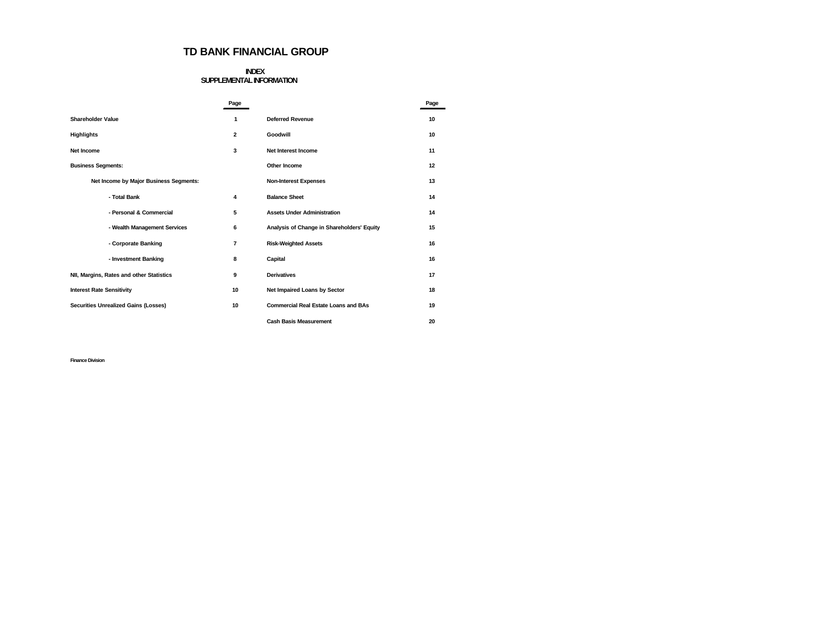## **TD BANK FINANCIAL GROUP**

## **INDEX SUPPLEMENTAL INFORMATION**

|                                          | Page           |                                             | Page |
|------------------------------------------|----------------|---------------------------------------------|------|
| <b>Shareholder Value</b>                 | 1              | <b>Deferred Revenue</b>                     | 10   |
| <b>Highlights</b>                        | $\overline{2}$ | Goodwill                                    | 10   |
| Net Income                               | 3              | Net Interest Income                         | 11   |
| <b>Business Segments:</b>                |                | Other Income                                | 12   |
| Net Income by Major Business Segments:   |                | <b>Non-Interest Expenses</b>                | 13   |
| - Total Bank                             | 4              | <b>Balance Sheet</b>                        | 14   |
| - Personal & Commercial                  | 5              | <b>Assets Under Administration</b>          | 14   |
| - Wealth Management Services             | 6              | Analysis of Change in Shareholders' Equity  | 15   |
| - Corporate Banking                      | 7              | <b>Risk-Weighted Assets</b>                 | 16   |
| - Investment Banking                     | 8              | Capital                                     | 16   |
| NII, Margins, Rates and other Statistics | 9              | <b>Derivatives</b>                          | 17   |
| <b>Interest Rate Sensitivity</b>         | 10             | Net Impaired Loans by Sector                | 18   |
| Securities Unrealized Gains (Losses)     | 10             | <b>Commercial Real Estate Loans and BAs</b> | 19   |
|                                          |                | <b>Cash Basis Measurement</b>               | 20   |

**Finance Division**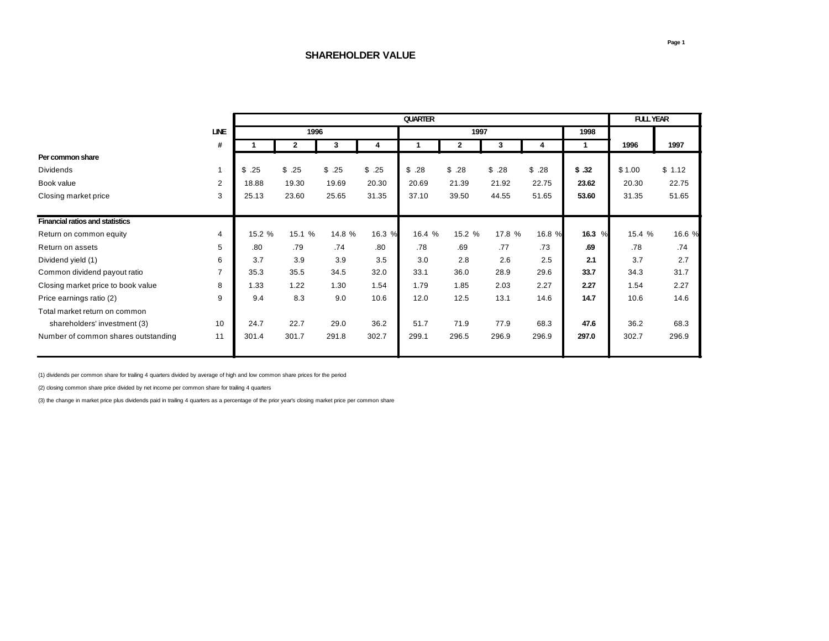|                                        |                |        |              |        | <b>FULL YEAR</b> |        |                |        |        |        |        |        |
|----------------------------------------|----------------|--------|--------------|--------|------------------|--------|----------------|--------|--------|--------|--------|--------|
|                                        | <b>LINE</b>    |        | 1996         |        |                  |        | 1997           |        |        | 1998   |        |        |
|                                        | #              |        | $\mathbf{2}$ | 3      | 4                |        | $\overline{2}$ | 3      | 4      |        | 1996   | 1997   |
| Per common share                       |                |        |              |        |                  |        |                |        |        |        |        |        |
| <b>Dividends</b>                       | $\mathbf 1$    | \$.25  | \$.25        | \$.25  | \$.25            | \$.28  | \$.28          | \$.28  | \$.28  | \$.32  | \$1.00 | \$1.12 |
| Book value                             | 2              | 18.88  | 19.30        | 19.69  | 20.30            | 20.69  | 21.39          | 21.92  | 22.75  | 23.62  | 20.30  | 22.75  |
| Closing market price                   | 3              | 25.13  | 23.60        | 25.65  | 31.35            | 37.10  | 39.50          | 44.55  | 51.65  | 53.60  | 31.35  | 51.65  |
| <b>Financial ratios and statistics</b> |                |        |              |        |                  |        |                |        |        |        |        |        |
| Return on common equity                | 4              | 15.2 % | 15.1 %       | 14.8 % | 16.3 %           | 16.4 % | 15.2 %         | 17.8 % | 16.8 % | 16.3 % | 15.4 % | 16.6 % |
| Return on assets                       | 5              | .80    | .79          | .74    | .80              | .78    | .69            | .77    | .73    | .69    | .78    | .74    |
| Dividend yield (1)                     | 6              | 3.7    | 3.9          | 3.9    | 3.5              | 3.0    | 2.8            | 2.6    | 2.5    | 2.1    | 3.7    | 2.7    |
| Common dividend payout ratio           | $\overline{7}$ | 35.3   | 35.5         | 34.5   | 32.0             | 33.1   | 36.0           | 28.9   | 29.6   | 33.7   | 34.3   | 31.7   |
| Closing market price to book value     | 8              | 1.33   | 1.22         | 1.30   | 1.54             | 1.79   | 1.85           | 2.03   | 2.27   | 2.27   | 1.54   | 2.27   |
| Price earnings ratio (2)               | 9              | 9.4    | 8.3          | 9.0    | 10.6             | 12.0   | 12.5           | 13.1   | 14.6   | 14.7   | 10.6   | 14.6   |
| Total market return on common          |                |        |              |        |                  |        |                |        |        |        |        |        |
| shareholders' investment (3)           | 10             | 24.7   | 22.7         | 29.0   | 36.2             | 51.7   | 71.9           | 77.9   | 68.3   | 47.6   | 36.2   | 68.3   |
| Number of common shares outstanding    | 11             | 301.4  | 301.7        | 291.8  | 302.7            | 299.1  | 296.5          | 296.9  | 296.9  | 297.0  | 302.7  | 296.9  |

(1) dividends per common share for trailing 4 quarters divided by average of high and low common share prices for the period

(2) closing common share price divided by net income per common share for trailing 4 quarters

(3) the change in market price plus dividends paid in trailing 4 quarters as a percentage of the prior year's closing market price per common share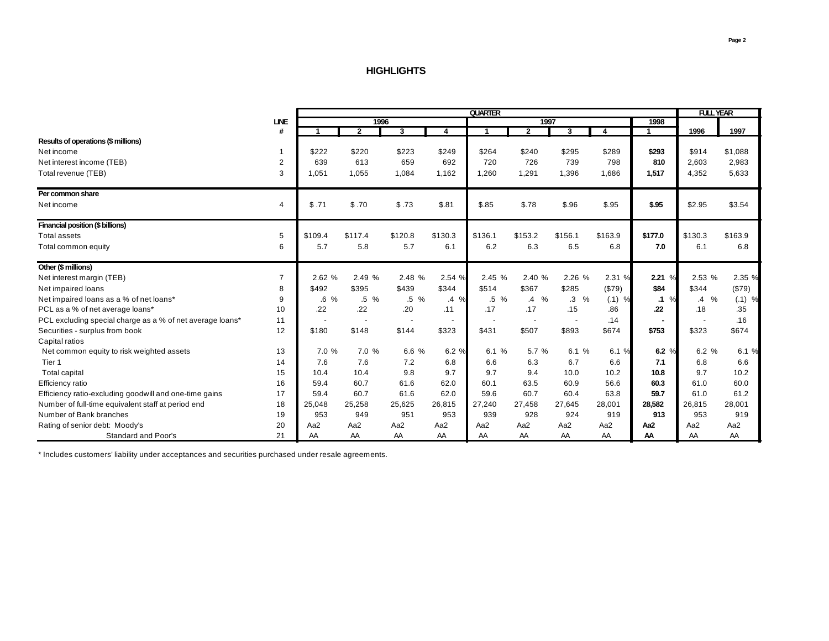## **HIGHLIGHTS**

|                                                           | <b>QUARTER</b> |                 |                |                          |                          |                      |                     |                          |          | <b>FULL YEAR</b>  |                       |          |
|-----------------------------------------------------------|----------------|-----------------|----------------|--------------------------|--------------------------|----------------------|---------------------|--------------------------|----------|-------------------|-----------------------|----------|
|                                                           | <b>LINE</b>    |                 | 1996           |                          |                          |                      | 1997                |                          |          | 1998              |                       |          |
|                                                           | #              |                 | $\overline{2}$ | $\overline{\mathbf{3}}$  | 4                        | $\blacktriangleleft$ | $\overline{2}$      | $\overline{\mathbf{3}}$  | 4        | 1                 | 1996                  | 1997     |
| Results of operations (\$ millions)                       |                |                 |                |                          |                          |                      |                     |                          |          |                   |                       |          |
| Net income                                                | $\mathbf 1$    | \$222           | \$220          | \$223                    | \$249                    | \$264                | \$240               | \$295                    | \$289    | \$293             | \$914                 | \$1,088  |
| Net interest income (TEB)                                 | $\overline{2}$ | 639             | 613            | 659                      | 692                      | 720                  | 726                 | 739                      | 798      | 810               | 2,603                 | 2,983    |
| Total revenue (TEB)                                       | 3              | 1.051           | 1,055          | 1,084                    | 1,162                    | 1,260                | 1,291               | 1,396                    | 1,686    | 1,517             | 4,352                 | 5,633    |
| Per common share                                          |                |                 |                |                          |                          |                      |                     |                          |          |                   |                       |          |
| Net income                                                | $\overline{4}$ | \$.71           | \$.70          | \$.73                    | \$.81                    | \$.85                | \$.78               | \$.96                    | \$.95    | \$.95             | \$2.95                | \$3.54   |
| Financial position (\$ billions)                          |                |                 |                |                          |                          |                      |                     |                          |          |                   |                       |          |
| <b>Total assets</b>                                       | 5              | \$109.4         | \$117.4        | \$120.8                  | \$130.3                  | \$136.1              | \$153.2             | \$156.1                  | \$163.9  | \$177.0           | \$130.3               | \$163.9  |
| Total common equity                                       | 6              | 5.7             | 5.8            | 5.7                      | 6.1                      | 6.2                  | 6.3                 | 6.5                      | 6.8      | 7.0               | 6.1                   | 6.8      |
| Other (\$ millions)                                       |                |                 |                |                          |                          |                      |                     |                          |          |                   |                       |          |
| Net interest margin (TEB)                                 | $\overline{7}$ | 2.62 %          | 2.49 %         | 2.48 %                   | 2.54 %                   | 2.45 %               | 2.40 %              | 2.26 %                   | 2.31 %   | 2.21%             | 2.53%                 | 2.35 %   |
| Net impaired loans                                        | 8              | \$492           | \$395          | \$439                    | \$344                    | \$514                | \$367               | \$285                    | (\$79)   | \$84              | \$344                 | (\$79)   |
| Net impaired loans as a % of net loans*                   | 9              | $.6\%$          | $.5\%$         | .5 %                     | $\frac{1}{2}$<br>$\cdot$ | $.5\%$               | $\frac{1}{2}$<br>.4 | $\%$<br>$\cdot$ 3        | $(.1)$ % | $\%$<br>$\cdot$ 1 | $\%$<br>$\mathcal{A}$ | $(.1)$ % |
| PCL as a % of net average loans*                          | 10             | .22             | .22            | .20                      | .11                      | .17                  | .17                 | .15                      | .86      | .22               | .18                   | .35      |
| PCL excluding special charge as a % of net average loans* | 11             |                 |                | $\overline{\phantom{a}}$ |                          |                      |                     | $\overline{\phantom{a}}$ | .14      |                   |                       | .16      |
| Securities - surplus from book                            | 12             | \$180           | \$148          | \$144                    | \$323                    | \$431                | \$507               | \$893                    | \$674    | \$753             | \$323                 | \$674    |
| Capital ratios                                            |                |                 |                |                          |                          |                      |                     |                          |          |                   |                       |          |
| Net common equity to risk weighted assets                 | 13             | 7.0 %           | 7.0 %          | 6.6 %                    | 6.2 %                    | 6.1 %                | 5.7 %               | 6.1 %                    | 6.1 %    | 6.2 $%$           | 6.2 %                 | 6.1 %    |
| Tier 1                                                    | 14             | 7.6             | 7.6            | 7.2                      | 6.8                      | 6.6                  | 6.3                 | 6.7                      | 6.6      | 7.1               | 6.8                   | 6.6      |
| Total capital                                             | 15             | 10.4            | 10.4           | 9.8                      | 9.7                      | 9.7                  | 9.4                 | 10.0                     | 10.2     | 10.8              | 9.7                   | 10.2     |
| Efficiency ratio                                          | 16             | 59.4            | 60.7           | 61.6                     | 62.0                     | 60.1                 | 63.5                | 60.9                     | 56.6     | 60.3              | 61.0                  | 60.0     |
| Efficiency ratio-excluding goodwill and one-time gains    | 17             | 59.4            | 60.7           | 61.6                     | 62.0                     | 59.6                 | 60.7                | 60.4                     | 63.8     | 59.7              | 61.0                  | 61.2     |
| Number of full-time equivalent staff at period end        | 18             | 25,048          | 25,258         | 25,625                   | 26,815                   | 27,240               | 27,458              | 27,645                   | 28,001   | 28,582            | 26,815                | 28,001   |
| Number of Bank branches                                   | 19             | 953             | 949            | 951                      | 953                      | 939                  | 928                 | 924                      | 919      | 913               | 953                   | 919      |
| Rating of senior debt: Moody's                            | 20             | Aa <sub>2</sub> | Aa2            | Aa2                      | Aa2                      | Aa2                  | Aa2                 | Aa2                      | Aa2      | Aa2               | Aa2                   | Aa2      |
| <b>Standard and Poor's</b>                                | 21             | AA              | AA             | AA                       | AA                       | AA                   | AA                  | AA                       | AA       | AA                | AA                    | AA       |

\* Includes customers' liability under acceptances and securities purchased under resale agreements.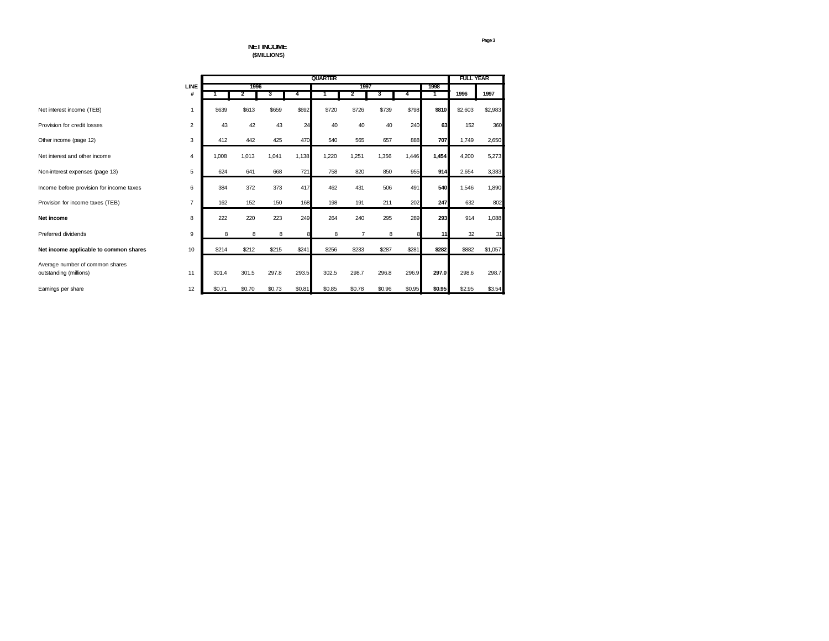**NET INCOME (\$MILLIONS)**

|                                                           |                |        |        | <b>FULL YEAR</b> |        |        |        |        |        |        |         |         |
|-----------------------------------------------------------|----------------|--------|--------|------------------|--------|--------|--------|--------|--------|--------|---------|---------|
|                                                           | <b>LINE</b>    |        | 1996   |                  |        |        | 1997   |        |        | 1998   |         |         |
|                                                           | #              |        | 2      | 3                |        |        | 2      | 3      | 4      | 1      | 1996    | 1997    |
| Net interest income (TEB)                                 | 1              | \$639  | \$613  | \$659            | \$692  | \$720  | \$726  | \$739  | \$798  | \$810  | \$2,603 | \$2,983 |
| Provision for credit losses                               | $\overline{2}$ | 43     | 42     | 43               | 24     | 40     | 40     | 40     | 240    | 63     | 152     | 360     |
| Other income (page 12)                                    | 3              | 412    | 442    | 425              | 470    | 540    | 565    | 657    | 888    | 707    | 1,749   | 2,650   |
| Net interest and other income                             | $\overline{4}$ | 1.008  | 1,013  | 1,041            | 1,138  | 1.220  | 1,251  | 1,356  | 1,446  | 1,454  | 4,200   | 5,273   |
| Non-interest expenses (page 13)                           | 5              | 624    | 641    | 668              | 721    | 758    | 820    | 850    | 955    | 914    | 2.654   | 3,383   |
| Income before provision for income taxes                  | 6              | 384    | 372    | 373              | 417    | 462    | 431    | 506    | 491    | 540    | 1,546   | 1,890   |
| Provision for income taxes (TEB)                          | $\overline{7}$ | 162    | 152    | 150              | 168    | 198    | 191    | 211    | 202    | 247    | 632     | 802     |
| Net income                                                | 8              | 222    | 220    | 223              | 249    | 264    | 240    | 295    | 289    | 293    | 914     | 1,088   |
| Preferred dividends                                       | 9              | 8      | 8      | 8                |        | 8      | 7      | 8      |        | 11     | 32      | 31      |
| Net income applicable to common shares                    | 10             | \$214  | \$212  | \$215            | \$241  | \$256  | \$233  | \$287  | \$281  | \$282  | \$882   | \$1,057 |
| Average number of common shares<br>outstanding (millions) | 11             | 301.4  | 301.5  | 297.8            | 293.5  | 302.5  | 298.7  | 296.8  | 296.9  | 297.0  | 298.6   | 298.7   |
| Earnings per share                                        | 12             | \$0.71 | \$0.70 | \$0.73           | \$0.81 | \$0.85 | \$0.78 | \$0.96 | \$0.95 | \$0.95 | \$2.95  | \$3.54  |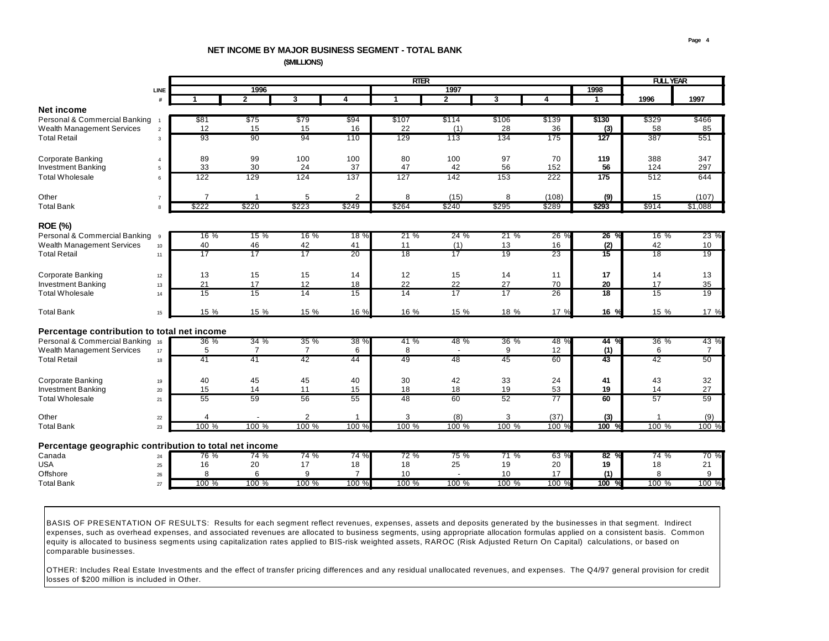# **NET INCOME BY MAJOR BUSINESS SEGMENT - TOTAL BANK**

 **(\$MILLIONS)**

|                                                        | <b>RTER</b>         |       |                |                |                |                |                 |                |       |       | <b>FULL YEAR</b> |       |                |
|--------------------------------------------------------|---------------------|-------|----------------|----------------|----------------|----------------|-----------------|----------------|-------|-------|------------------|-------|----------------|
|                                                        | <b>LINE</b>         |       |                | 1996           |                |                |                 | 1997           |       |       | 1998             |       |                |
|                                                        | #                   | 1     |                | $\mathbf{2}$   | 3              | 4              | 1               | $\overline{2}$ | 3     | 4     | 1                | 1996  | 1997           |
| <b>Net income</b>                                      |                     |       |                |                |                |                |                 |                |       |       |                  |       |                |
| Personal & Commercial Banking                          |                     | \$81  |                | \$75           | \$79           | \$94           | \$107           | \$114          | \$106 | \$139 | \$130            | \$329 | \$466          |
| Wealth Management Services                             | $\overline{2}$      | 12    |                | 15             | 15             | 16             | 22              | (1)            | 28    | 36    | (3)              | 58    | 85             |
| <b>Total Retail</b>                                    | 3                   | 93    |                | 90             | 94             | 110            | 129             | 113            | 134   | 175   | 127              | 387   | 551            |
|                                                        |                     |       |                |                |                |                |                 |                |       |       |                  |       |                |
| <b>Corporate Banking</b>                               |                     | 89    |                | 99             | 100            | 100            | 80              | 100            | 97    | 70    | 119              | 388   | 347            |
| <b>Investment Banking</b>                              | $\overline{4}$<br>5 | 33    |                | 30             | 24             | 37             | 47              | 42             | 56    | 152   | 56               | 124   | 297            |
| <b>Total Wholesale</b>                                 | 6                   | 122   |                | 129            | 124            | 137            | 127             | 142            | 153   | 222   | 175              | 512   | 644            |
|                                                        |                     |       |                |                |                |                |                 |                |       |       |                  |       |                |
|                                                        |                     |       |                |                |                |                |                 |                |       |       |                  |       |                |
| Other                                                  | $\overline{7}$      |       | $\overline{7}$ |                | 5              | 2              | 8               | (15)           | 8     | (108) | (9)              | 15    | (107)          |
| <b>Total Bank</b>                                      | 8                   | \$222 |                | \$220          | \$223          | \$249          | \$264           | \$240          | \$295 | \$289 | \$293            | \$914 | \$1,088        |
|                                                        |                     |       |                |                |                |                |                 |                |       |       |                  |       |                |
| <b>ROE (%)</b>                                         |                     |       |                |                |                |                |                 |                |       |       |                  |       |                |
| Personal & Commercial Banking                          | 9                   |       | 16%            | 15%            | 16 %           | 18 %           | 21%             | 24%            | 21%   | 26 %  | $26\%$           | 16%   | 23 %           |
| Wealth Management Services                             | 10                  | 40    |                | 46             | 42             | 41             | 11              | (1)            | 13    | 16    | (2)              | 42    | 10             |
| <b>Total Retail</b>                                    | 11                  | 17    |                | 17             | 17             | 20             | $\overline{18}$ | 17             | 19    | 23    | $\overline{15}$  | 18    | 19             |
|                                                        |                     |       |                |                |                |                |                 |                |       |       |                  |       |                |
| <b>Corporate Banking</b>                               | 12                  | 13    |                | 15             | 15             | 14             | 12              | 15             | 14    | 11    | 17               | 14    | 13             |
| <b>Investment Banking</b>                              | 13                  | 21    |                | 17             | 12             | 18             | 22              | 22             | 27    | 70    | 20               | 17    | 35             |
| <b>Total Wholesale</b>                                 | 14                  | 15    |                | 15             | 14             | 15             | 14              | 17             | 17    | 26    | 18               | 15    | 19             |
|                                                        |                     |       |                |                |                |                |                 |                |       |       |                  |       |                |
| <b>Total Bank</b>                                      | 15                  |       | 15 %           | 15 %           | 15 %           | 16 %           | 16 %            | 15 %           | 18 %  | 17 %  | 16 %             | 15 %  | 17 %           |
|                                                        |                     |       |                |                |                |                |                 |                |       |       |                  |       |                |
| Percentage contribution to total net income            |                     |       |                |                |                |                |                 |                |       |       |                  |       |                |
| Personal & Commercial Banking 16                       |                     |       | $36\%$         | 34%            | 35 %           | 38 %           | 41 %            | 48 %           | 36%   | 48 %  | 44 %             | 36 %  | 43 %           |
| Wealth Management Services                             | 17                  |       | 5              | $\overline{7}$ | 7              | 6              | 8               |                | 9     | 12    | (1)              | 6     | $\overline{7}$ |
| <b>Total Retail</b>                                    | 18                  | 41    |                | 41             | 42             | 44             | 49              | 48             | 45    | 60    | 43               | 42    | 50             |
|                                                        |                     |       |                |                |                |                |                 |                |       |       |                  |       |                |
| <b>Corporate Banking</b>                               | 19                  | 40    |                | 45             | 45             | 40             | 30              | 42             | 33    | 24    | 41               | 43    | 32             |
| <b>Investment Banking</b>                              | 20                  | 15    |                | 14             | 11             | 15             | 18              | 18             | 19    | 53    | 19               | 14    | 27             |
| <b>Total Wholesale</b>                                 | 21                  | 55    |                | 59             | 56             | 55             | 48              | 60             | 52    | 77    | 60               | 57    | 59             |
|                                                        |                     |       |                |                |                |                |                 |                |       |       |                  |       |                |
| Other                                                  | $22\,$              |       | $\overline{4}$ |                | $\overline{2}$ | 1              | 3               | (8)            | 3     | (37)  | (3)              |       | (9)            |
| <b>Total Bank</b>                                      | 23                  |       | 100 %          | 100 %          | 100 %          | 100 %          | 100 %           | 100 %          | 100 % | 100 % | 100              | 100 % | 100 %          |
|                                                        |                     |       |                |                |                |                |                 |                |       |       |                  |       |                |
| Percentage geographic contribution to total net income |                     |       |                |                |                |                |                 |                |       |       |                  |       |                |
| Canada                                                 | 24                  |       | 76 %           | 74 %           | 74 %           | 74 %           | 72 %            | 75 %           | 71%   | 63 %  | 82%              | 74 %  | 70 %           |
| <b>USA</b>                                             | 25                  | 16    |                | 20             | 17             | 18             | 18              | 25             | 19    | 20    | 19               | 18    | 21             |
| Offshore                                               | 26                  |       | 8              | 6              | 9              | $\overline{7}$ | 10              | $\overline{a}$ | 10    | 17    | (1)              | 8     | 9              |
| <b>Total Bank</b>                                      | 27                  |       | 100 %          | 100 %          | 100 %          | 100 %          | 100 %           | 100 %          | 100 % | 100 % | 100              | 100 % | 100 %          |
|                                                        |                     |       |                |                |                |                |                 |                |       |       |                  |       |                |
|                                                        |                     |       |                |                |                |                |                 |                |       |       |                  |       |                |

BASIS OF PRESENTATION OF RESULTS: Results for each segment reflect revenues, expenses, assets and deposits generated by the businesses in that segment. Indirect expenses, such as overhead expenses, and associated revenues are allocated to business segments, using appropriate allocation formulas applied on a consistent basis. Common equity is allocated to business segments using capitalization rates applied to BIS-risk weighted assets, RAROC (Risk Adjusted Return On Capital) calculations, or based on comparable businesses.

OTHER: Includes Real Estate Investments and the effect of transfer pricing differences and any residual unallocated revenues, and expenses. The Q4/97 general provision for credit losses of \$200 million is included in Other.

Ī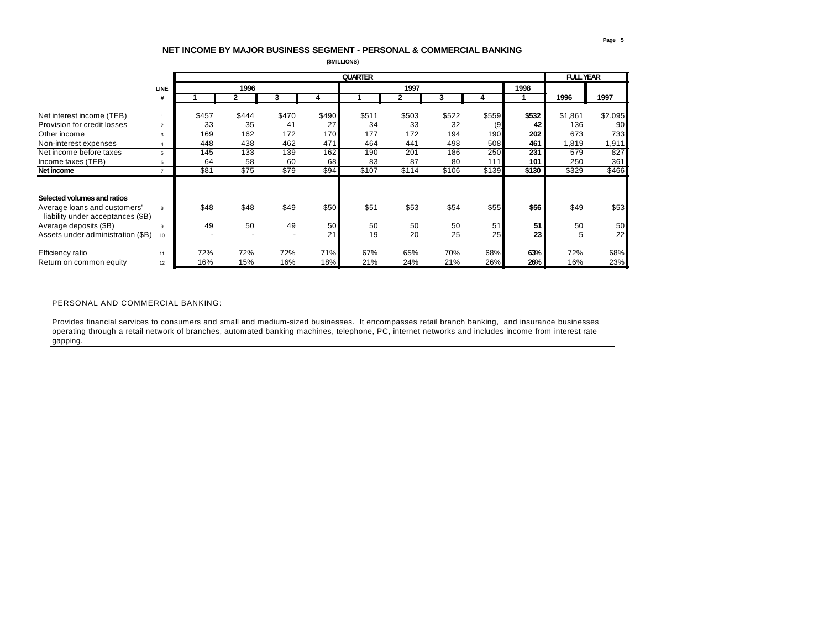## **NET INCOME BY MAJOR BUSINESS SEGMENT - PERSONAL & COMMERCIAL BANKING**

 **(\$MILLIONS)**

|                                                                   |                          |       |       |                          |       | <b>QUARTER</b> |       |       | <b>FULL YEAR</b> |       |         |         |
|-------------------------------------------------------------------|--------------------------|-------|-------|--------------------------|-------|----------------|-------|-------|------------------|-------|---------|---------|
|                                                                   | <b>LINE</b>              |       | 1996  |                          |       |                | 1997  |       |                  | 1998  |         |         |
|                                                                   | #                        |       |       | 3                        |       |                |       |       |                  |       | 1996    | 1997    |
| Net interest income (TEB)                                         |                          | \$457 | \$444 | \$470                    | \$490 | \$511          | \$503 | \$522 | \$559            | \$532 | \$1,861 | \$2,095 |
| Provision for credit losses                                       | $\overline{\phantom{a}}$ | 33    | 35    | 41                       | 27    | 34             | 33    | 32    | (9)              | 42    | 136     | 90      |
| Other income                                                      | 3                        | 169   | 162   | 172                      | 170   | 177            | 172   | 194   | 190              | 202   | 673     | 733     |
| Non-interest expenses                                             |                          | 448   | 438   | 462                      | 471   | 464            | 441   | 498   | 508              | 461   | .819    | 1,911   |
| Net income before taxes                                           | 5                        | 145   | 133   | 139                      | 162   | 190            | 201   | 186   | 250              | 231   | 579     | 827     |
| Income taxes (TEB)                                                | 6                        | 64    | 58    | 60                       | 68    | 83             | 87    | 80    | 111              | 101   | 250     | 361     |
| Net income                                                        | $\mathbf{z}$             | \$81  | \$75  | \$79                     | \$94  | \$107          | \$114 | \$106 | \$139            | \$130 | \$329   | \$466   |
|                                                                   |                          |       |       |                          |       |                |       |       |                  |       |         |         |
| Selected volumes and ratios                                       |                          |       |       |                          |       |                |       |       |                  |       |         |         |
| Average loans and customers'<br>liability under acceptances (\$B) | 8                        | \$48  | \$48  | \$49                     | \$50  | \$51           | \$53  | \$54  | \$55             | \$56  | \$49    | \$53    |
| Average deposits (\$B)                                            | <b>Q</b>                 | 49    | 50    | 49                       | 50    | 50             | 50    | 50    | 51               | 51    | 50      | 50      |
| Assets under administration (\$B)                                 | 10                       |       |       | $\overline{\phantom{a}}$ | 21    | 19             | 20    | 25    | 25               | 23    | 5       | 22      |
| Efficiency ratio                                                  | 11                       | 72%   | 72%   | 72%                      | 71%   | 67%            | 65%   | 70%   | 68%              | 63%   | 72%     | 68%     |
| Return on common equity                                           | 12                       | 16%   | 15%   | 16%                      | 18%   | 21%            | 24%   | 21%   | 26%              | 26%   | 16%     | 23%     |

PERSONAL AND COMMERCIAL BANKING:

Provides financial services to consumers and small and medium-sized businesses. It encompasses retail branch banking, and insurance businesses operating through a retail network of branches, automated banking machines, telephone, PC, internet networks and includes income from interest rate gapping.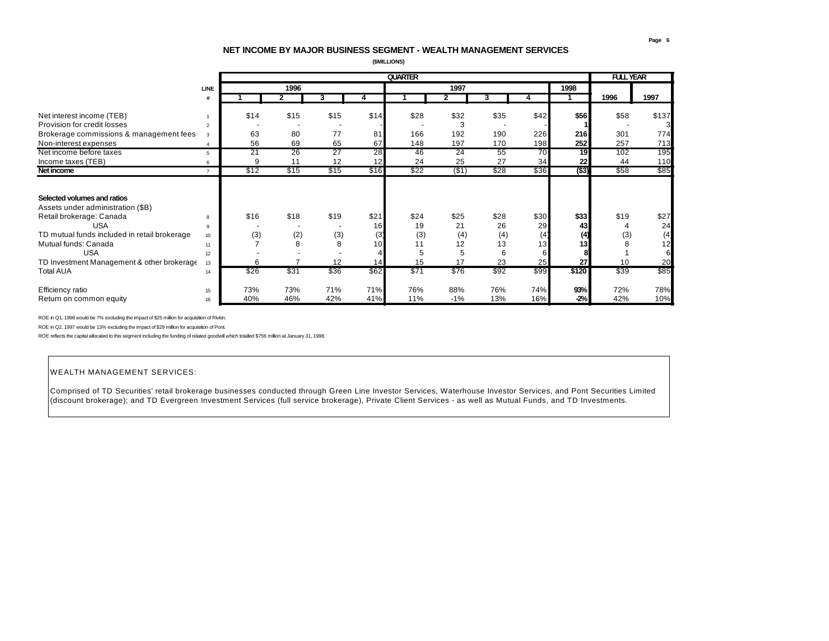## **NET INCOME BY MAJOR BUSINESS SEGMENT - WEALTH MANAGEMENT SERVICES**

 **(\$MILLIONS)**

|                                                                  |                |      |                |      |      | <b>QUARTER</b> |                |      |      |          | <b>FULL YEAR</b> |       |
|------------------------------------------------------------------|----------------|------|----------------|------|------|----------------|----------------|------|------|----------|------------------|-------|
|                                                                  | <b>LINE</b>    |      | 1996           |      |      |                | 1997           |      |      | 1998     |                  |       |
|                                                                  | #              |      | $\overline{2}$ | 3    | 4    |                | $\overline{2}$ | 3    |      |          | 1996             | 1997  |
| Net interest income (TEB)                                        |                | \$14 | \$15           | \$15 | \$14 | \$28           | \$32           | \$35 | \$42 | \$56     | \$58             | \$137 |
| Provision for credit losses                                      | $\mathfrak{p}$ |      |                |      |      |                |                |      |      |          |                  |       |
| Brokerage commissions & management fees                          | 3              | 63   | 80             | 77   | 81   | 166            | 192            | 190  | 226  | 216      | 301              | 774   |
| Non-interest expenses                                            |                | 56   | 69             | 65   | 67   | 148            | 197            | 170  | 198  | 252      | 257              | 713   |
| Net income before taxes                                          | 5              | 21   | 26             | 27   | 28   | 46             | 24             | 55   | 70   | 19       | 102              | 195   |
| Income taxes (TEB)                                               | 6              | 9    | 11             | 12   | 12   | 24             | 25             | 27   | 34   | 22       | 44               | 110   |
| Net income                                                       | $\overline{z}$ | \$12 | \$15           | \$15 | \$16 | \$22           | $($ \$1)       | \$28 | \$36 | $($ \$3) | \$58             | \$85  |
| Selected volumes and ratios<br>Assets under administration (\$B) |                |      |                |      |      |                |                |      |      |          |                  |       |
| Retail brokerage: Canada                                         | 8              | \$16 | \$18           | \$19 | \$21 | \$24           | \$25           | \$28 | \$30 | \$33     | \$19             | \$27  |
| <b>USA</b>                                                       | 9              |      |                |      | 16   | 19             | 21             | 26   | 29   | 43       |                  | 24    |
| TD mutual funds included in retail brokerage                     | 10             | (3)  | (2)            | (3)  | (3)  | (3)            | (4)            | (4)  | (4)  | (4)      | (3)              | (4)   |
| Mutual funds: Canada                                             | 11             |      | 8              | 8    | 10   | 11             | 12             | 13   | 13   | 13       |                  | 12    |
| <b>USA</b>                                                       | 12             |      |                |      |      | 5              |                | 6    |      |          |                  | 6     |
| TD Investment Management & other brokerage                       | 13             | 6    | $\overline{ }$ | 12   | 14   | 15             | 17             | 23   | 25   | 27       | 10               | 20    |
| <b>Total AUA</b>                                                 | 14             | \$26 | \$31           | \$36 | \$62 | \$71           | \$76           | \$92 | \$99 | \$120    | \$39             | \$85  |
| Efficiency ratio                                                 | 15             | 73%  | 73%            | 71%  | 71%  | 76%            | 88%            | 76%  | 74%  | 93%      | 72%              | 78%   |
| Return on common equity                                          | 16             | 40%  | 46%            | 42%  | 41%  | 11%            | $-1%$          | 13%  | 16%  | $-2%$    | 42%              | 10%   |

ROE in Q1, 1998 would be 7% excluding the impact of \$25 million for acquisition of Rivkin.

ROE in Q2, 1997 would be 13% excluding the impact of \$29 million for acquisition of Pont.

ROE reflects the capital allocated to this segment including the funding of related goodwill which totalled \$756 million at January 31, 1998.

## WEALTH MANAGEMENT SERVICES:

İ

Comprised of TD Securities' retail brokerage businesses conducted through Green Line Investor Services, Waterhouse Investor Services, and Pont Securities Limited (discount brokerage); and TD Evergreen Investment Services (full service brokerage), Private Client Services - as well as Mutual Funds, and TD Investments.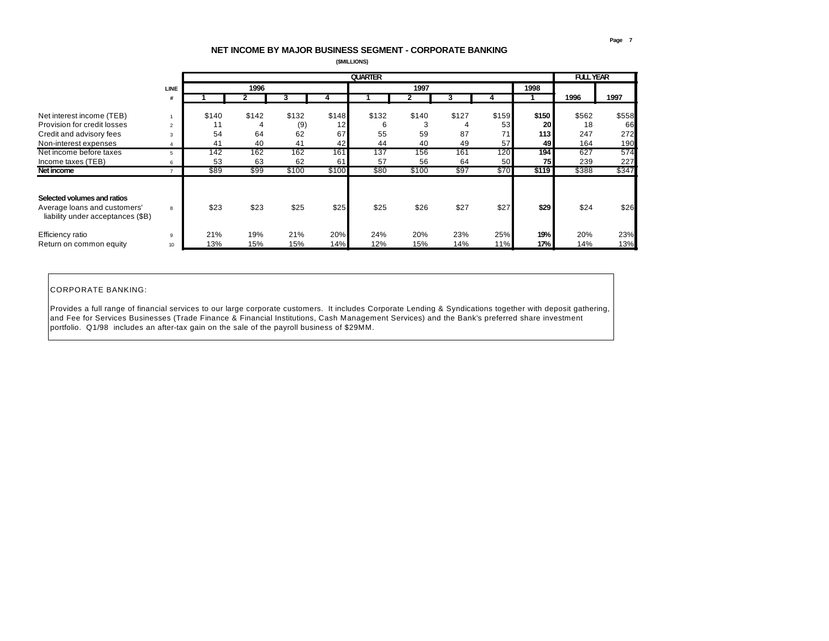## **NET INCOME BY MAJOR BUSINESS SEGMENT - CORPORATE BANKING**

 **(\$MILLIONS)**

|                                                                   |               |             |       |              | <b>FULL YEAR</b> |       |            |       |             |             |             |       |
|-------------------------------------------------------------------|---------------|-------------|-------|--------------|------------------|-------|------------|-------|-------------|-------------|-------------|-------|
|                                                                   | <b>LINE</b>   |             | 1996  |              |                  |       | 1997       |       |             | 1998        |             |       |
|                                                                   | #             |             |       |              |                  |       |            |       |             |             | 1996        | 1997  |
|                                                                   |               |             | \$142 |              |                  | \$132 |            |       |             |             |             | \$558 |
| Net interest income (TEB)<br>Provision for credit losses          | $\mathcal{P}$ | \$140<br>11 | 4     | \$132<br>(9) | \$148<br>12      | 6     | \$140<br>3 | \$127 | \$159<br>53 | \$150<br>20 | \$562<br>18 | 66    |
| Credit and advisory fees                                          | 3             | 54          | 64    | 62           | 67               | 55    | 59         | 87    | 71          | 113         | 247         | 272   |
| Non-interest expenses                                             |               | 41          | 40    | 41           | 42               | 44    | 40         | 49    | 57          | 49          | 164         | 190   |
| Net income before taxes                                           |               | 142         | 162   | 162          | 161              | 137   | 156        | 161   | 120         | 194         | 627         | 574   |
| Income taxes (TEB)                                                | 6             | 53          | 63    | 62           | 61               | 57    | 56         | 64    | 50          | 75          | 239         | 227   |
| Net income                                                        |               | \$89        | \$99  | \$100        | \$100            | \$80  | \$100      | \$97  | \$70        | \$119       | \$388       | \$347 |
| Selected volumes and ratios                                       |               |             |       |              |                  |       |            |       |             |             |             |       |
| Average loans and customers'<br>liability under acceptances (\$B) | 8             | \$23        | \$23  | \$25         | \$25             | \$25  | \$26       | \$27  | \$27        | \$29        | \$24        | \$26  |
| Efficiency ratio                                                  | 9             | 21%         | 19%   | 21%          | 20%              | 24%   | 20%        | 23%   | 25%         | 19%         | 20%         | 23%   |
| Return on common equity                                           | 10            | 13%         | 15%   | 15%          | 14%              | 12%   | 15%        | 14%   | 11%         | 17%         | 14%         | 13%   |

## CORPORATE BANKING:

Provides a full range of financial services to our large corporate customers. It includes Corporate Lending & Syndications together with deposit gathering, and Fee for Services Businesses (Trade Finance & Financial Institutions, Cash Management Services) and the Bank's preferred share investment portfolio. Q1/98 includes an after-tax gain on the sale of the payroll business of \$29MM.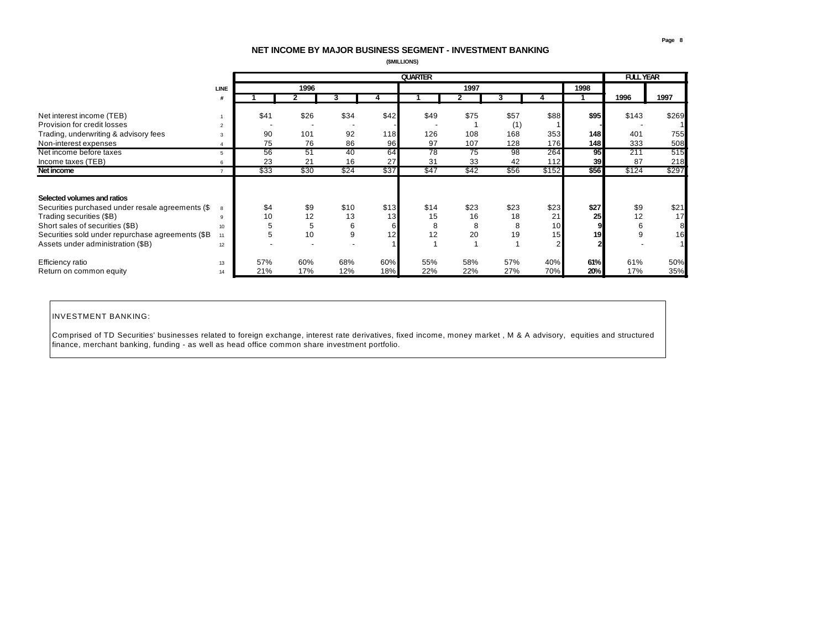## **NET INCOME BY MAJOR BUSINESS SEGMENT - INVESTMENT BANKING**

 **(\$MILLIONS)**

|                                                   |                 | <b>QUARTER</b> |      |      |      |      |                 |      |       |      |       | <b>FULL YEAR</b> |
|---------------------------------------------------|-----------------|----------------|------|------|------|------|-----------------|------|-------|------|-------|------------------|
|                                                   | <b>LINE</b>     |                | 1996 |      |      |      | 1997            |      |       | 1998 |       |                  |
|                                                   |                 |                |      |      |      |      |                 |      |       |      | 1996  | 1997             |
|                                                   |                 |                |      |      |      |      |                 |      |       |      |       |                  |
| Net interest income (TEB)                         |                 | \$41           | \$26 | \$34 | \$42 | \$49 | \$75            | \$57 | \$88  | \$95 | \$143 | \$269            |
| Provision for credit losses                       | $\overline{2}$  |                |      |      |      |      |                 | (1)  |       |      |       |                  |
| Trading, underwriting & advisory fees             | 3               | 90             | 101  | 92   | 118  | 126  | 108             | 168  | 353   | 148  | 401   | 755              |
| Non-interest expenses                             |                 | 75             | 76   | 86   | 96   | 97   | 107             | 128  | 176   | 148  | 333   | 508              |
| Net income before taxes                           | 5               | 56             | 51   | 40   | 64   | 78   | $\overline{75}$ | 98   | 264   | 95   | 211   | 515              |
| Income taxes (TEB)                                |                 | 23             | 21   | 16   | 27   | 31   | 33              | 42   | 112   | 39   | 87    | 218              |
| Net income                                        |                 | \$33           | \$30 | \$24 | \$37 | \$47 | \$42            | \$56 | \$152 | \$56 | \$124 | \$297            |
|                                                   |                 |                |      |      |      |      |                 |      |       |      |       |                  |
| Selected volumes and ratios                       |                 |                |      |      |      |      |                 |      |       |      |       |                  |
| Securities purchased under resale agreements (\$  | 8               | \$4            | \$9  | \$10 | \$13 | \$14 | \$23            | \$23 | \$23  | \$27 | \$9   | \$21             |
| Trading securities (\$B)                          | q               | 10             | 12   | 13   | 13   | 15   | 16              | 18   | 21    | 25   | 12    | 17               |
| Short sales of securities (\$B)                   | 10              | 5              | 5    | 6    | 6    | 8    | 8               | 8    | 10    |      | 6     | 8                |
| Securities sold under repurchase agreements (\$B) | 11              | 5              | 10   | 9    | 12   | 12   | 20              | 19   | 15    | 19   |       | 16               |
| Assets under administration (\$B)                 | 12 <sup>2</sup> |                |      | ٠    |      |      |                 |      |       |      |       |                  |
|                                                   |                 |                |      |      |      |      |                 |      |       |      |       |                  |
| Efficiency ratio                                  | 13              | 57%            | 60%  | 68%  | 60%  | 55%  | 58%             | 57%  | 40%   | 61%  | 61%   | 50%              |
| Return on common equity                           | 14              | 21%            | 17%  | 12%  | 18%  | 22%  | 22%             | 27%  | 70%   | 20%  | 17%   | 35%              |

## INVESTMENT BANKING:

Comprised of TD Securities' businesses related to foreign exchange, interest rate derivatives, fixed income, money market , M & A advisory, equities and structured finance, merchant banking, funding - as well as head office common share investment portfolio.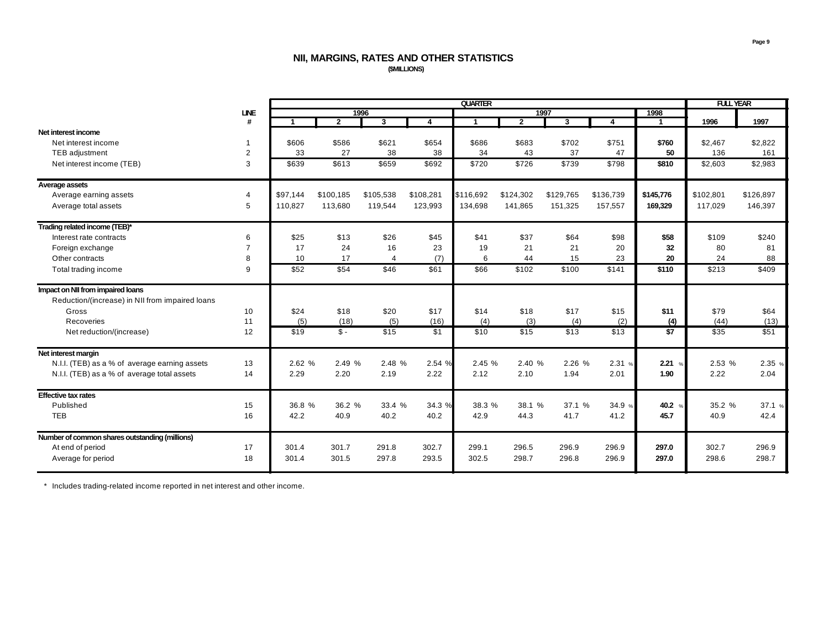## **NII, MARGINS, RATES AND OTHER STATISTICS (\$MILLIONS)**

|                                                 |                |          |              | <b>FULL YEAR</b> |           |                      |                |           |           |                 |           |           |
|-------------------------------------------------|----------------|----------|--------------|------------------|-----------|----------------------|----------------|-----------|-----------|-----------------|-----------|-----------|
|                                                 | <b>LINE</b>    |          |              | 1996             |           |                      |                | 1997      |           | 1998            |           |           |
|                                                 | #              | -1       | $\mathbf{2}$ | 3                | 4         | $\blacktriangleleft$ | $\overline{2}$ | 3         | 4         | 1               | 1996      | 1997      |
| Net interest income                             |                |          |              |                  |           |                      |                |           |           |                 |           |           |
| Net interest income                             | 1              | \$606    | \$586        | \$621            | \$654     | \$686                | \$683          | \$702     | \$751     | \$760           | \$2,467   | \$2,822   |
| <b>TEB</b> adjustment                           | $\overline{2}$ | 33       | 27           | 38               | 38        | 34                   | 43             | 37        | 47        | 50              | 136       | 161       |
| Net interest income (TEB)                       | 3              | \$639    | \$613        | \$659            | \$692     | \$720                | \$726          | \$739     | \$798     | \$810           | \$2,603   | \$2,983   |
| Average assets                                  |                |          |              |                  |           |                      |                |           |           |                 |           |           |
| Average earning assets                          | 4              | \$97.144 | \$100,185    | \$105,538        | \$108,281 | \$116,692            | \$124,302      | \$129,765 | \$136,739 | \$145,776       | \$102,801 | \$126,897 |
| Average total assets                            | 5              | 110,827  | 113,680      | 119,544          | 123,993   | 134,698              | 141,865        | 151,325   | 157,557   | 169,329         | 117,029   | 146,397   |
| Trading related income (TEB)*                   |                |          |              |                  |           |                      |                |           |           |                 |           |           |
| Interest rate contracts                         | 6              | \$25     | \$13         | \$26             | \$45      | \$41                 | \$37           | \$64      | \$98      | \$58            | \$109     | \$240     |
| Foreign exchange                                | $\overline{7}$ | 17       | 24           | 16               | 23        | 19                   | 21             | 21        | 20        | 32              | 80        | 81        |
| Other contracts                                 | 8              | 10       | 17           | $\overline{4}$   | (7)       | 6                    | 44             | 15        | 23        | 20              | 24        | 88        |
| Total trading income                            | 9              | \$52     | \$54         | \$46             | \$61      | \$66                 | \$102          | \$100     | \$141     | \$110           | \$213     | \$409     |
| Impact on NII from impaired loans               |                |          |              |                  |           |                      |                |           |           |                 |           |           |
| Reduction/(increase) in NII from impaired loans |                |          |              |                  |           |                      |                |           |           |                 |           |           |
| Gross                                           | 10             | \$24     | \$18         | \$20             | \$17      | \$14                 | \$18           | \$17      | \$15      | \$11            | \$79      | \$64      |
| Recoveries                                      | 11             | (5)      | (18)         | (5)              | (16)      | (4)                  | (3)            | (4)       | (2)       | (4)             | (44)      | (13)      |
| Net reduction/(increase)                        | 12             | \$19     | $S -$        | \$15             | \$1       | \$10                 | \$15           | \$13      | \$13      | \$7             | \$35      | \$51      |
| Net interest margin                             |                |          |              |                  |           |                      |                |           |           |                 |           |           |
| N.I.I. (TEB) as a % of average earning assets   | 13             | 2.62 %   | 2.49 %       | 2.48 %           | 2.54 %    | 2.45 %               | 2.40 %         | 2.26 %    | 2.31%     | 2.21%           | 2.53 %    | 2.35 %    |
| N.I.I. (TEB) as a % of average total assets     | 14             | 2.29     | 2.20         | 2.19             | 2.22      | 2.12                 | 2.10           | 1.94      | 2.01      | 1.90            | 2.22      | 2.04      |
| <b>Effective tax rates</b>                      |                |          |              |                  |           |                      |                |           |           |                 |           |           |
| Published                                       | 15             | 36.8 %   | 36.2 %       | 33.4 %           | 34.3 %    | 38.3 %               | 38.1 %         | 37.1 %    | 34.9 %    | 40.2 $\sqrt{ }$ | 35.2 %    | 37.1 %    |
| <b>TEB</b>                                      | 16             | 42.2     | 40.9         | 40.2             | 40.2      | 42.9                 | 44.3           | 41.7      | 41.2      | 45.7            | 40.9      | 42.4      |
| Number of common shares outstanding (millions)  |                |          |              |                  |           |                      |                |           |           |                 |           |           |
| At end of period                                | 17             | 301.4    | 301.7        | 291.8            | 302.7     | 299.1                | 296.5          | 296.9     | 296.9     | 297.0           | 302.7     | 296.9     |
| Average for period                              | 18             | 301.4    | 301.5        | 297.8            | 293.5     | 302.5                | 298.7          | 296.8     | 296.9     | 297.0           | 298.6     | 298.7     |

\* Includes trading-related income reported in net interest and other income.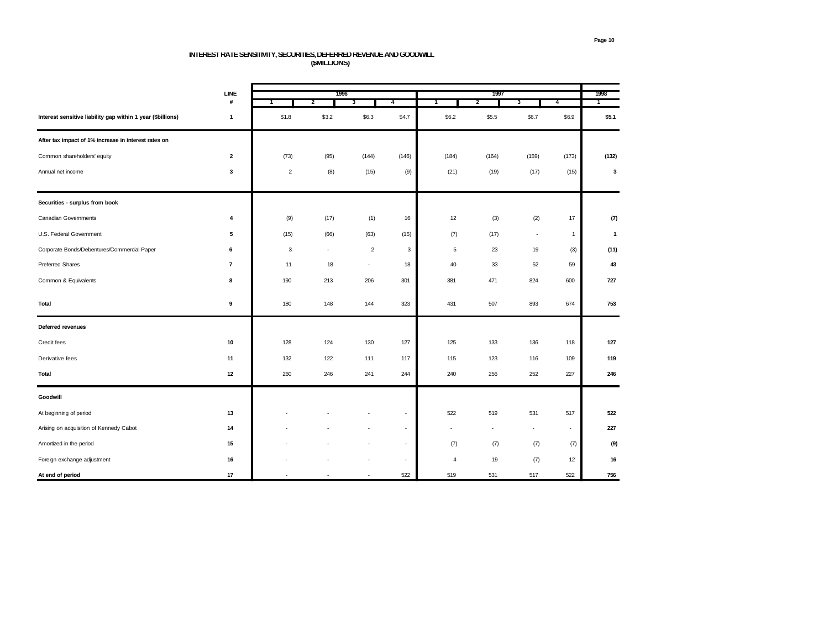# **INTEREST RATE SENSITIVITY, SECURITIES, DEFERRED REVENUE AND GOODWILL (\$MILLIONS)**

|                                                             | LINE           |                | 1996  |                          |                          |                | 1997  |                          |                | 1998         |
|-------------------------------------------------------------|----------------|----------------|-------|--------------------------|--------------------------|----------------|-------|--------------------------|----------------|--------------|
|                                                             | #              | 1              | 2     | 3                        | 4                        | 1              | 2     | 3                        | $\overline{4}$ | 1            |
| Interest sensitive liability gap within 1 year (\$billions) | $\mathbf{1}$   | \$1.8          | \$3.2 | \$6.3                    | \$4.7                    | \$6.2          | \$5.5 | \$6.7                    | \$6.9          | \$5.1        |
| After tax impact of 1% increase in interest rates on        |                |                |       |                          |                          |                |       |                          |                |              |
| Common shareholders' equity                                 | $\mathbf{2}$   | (73)           | (95)  | (144)                    | (146)                    | (184)          | (164) | (159)                    | (173)          | (132)        |
| Annual net income                                           | 3              | $\overline{2}$ | (8)   | (15)                     | (9)                      | (21)           | (19)  | (17)                     | (15)           | 3            |
| Securities - surplus from book                              |                |                |       |                          |                          |                |       |                          |                |              |
| <b>Canadian Governments</b>                                 | 4              | (9)            | (17)  | (1)                      | 16                       | 12             | (3)   | (2)                      | 17             | (7)          |
| U.S. Federal Government                                     | 5              | (15)           | (66)  | (63)                     | (15)                     | (7)            | (17)  | $\overline{\phantom{a}}$ | $\mathbf{1}$   | $\mathbf{1}$ |
| Corporate Bonds/Debentures/Commercial Paper                 | 6              | 3              | ٠     | $\overline{2}$           | 3                        | 5              | 23    | 19                       | (3)            | (11)         |
| <b>Preferred Shares</b>                                     | $\overline{7}$ | 11             | 18    | $\overline{\phantom{a}}$ | 18                       | 40             | 33    | 52                       | 59             | 43           |
| Common & Equivalents                                        | 8              | 190            | 213   | 206                      | 301                      | 381            | 471   | 824                      | 600            | 727          |
| Total                                                       | 9              | 180            | 148   | 144                      | 323                      | 431            | 507   | 893                      | 674            | 753          |
| Deferred revenues                                           |                |                |       |                          |                          |                |       |                          |                |              |
| Credit fees                                                 | 10             | 128            | 124   | 130                      | 127                      | 125            | 133   | 136                      | 118            | 127          |
| Derivative fees                                             | 11             | 132            | 122   | 111                      | 117                      | 115            | 123   | 116                      | 109            | 119          |
| Total                                                       | 12             | 260            | 246   | 241                      | 244                      | 240            | 256   | 252                      | 227            | 246          |
| Goodwill                                                    |                |                |       |                          |                          |                |       |                          |                |              |
| At beginning of period                                      | 13             |                |       |                          | ٠                        | 522            | 519   | 531                      | 517            | 522          |
| Arising on acquisition of Kennedy Cabot                     | 14             |                |       |                          | $\overline{\phantom{a}}$ | ٠              |       |                          | $\sim$         | 227          |
| Amortized in the period                                     | 15             |                |       |                          | ×,                       | (7)            | (7)   | (7)                      | (7)            | (9)          |
| Foreign exchange adjustment                                 | 16             |                |       |                          | $\overline{\phantom{a}}$ | $\overline{4}$ | 19    | (7)                      | 12             | 16           |
| At end of period                                            | 17             |                |       |                          | 522                      | 519            | 531   | 517                      | 522            | 756          |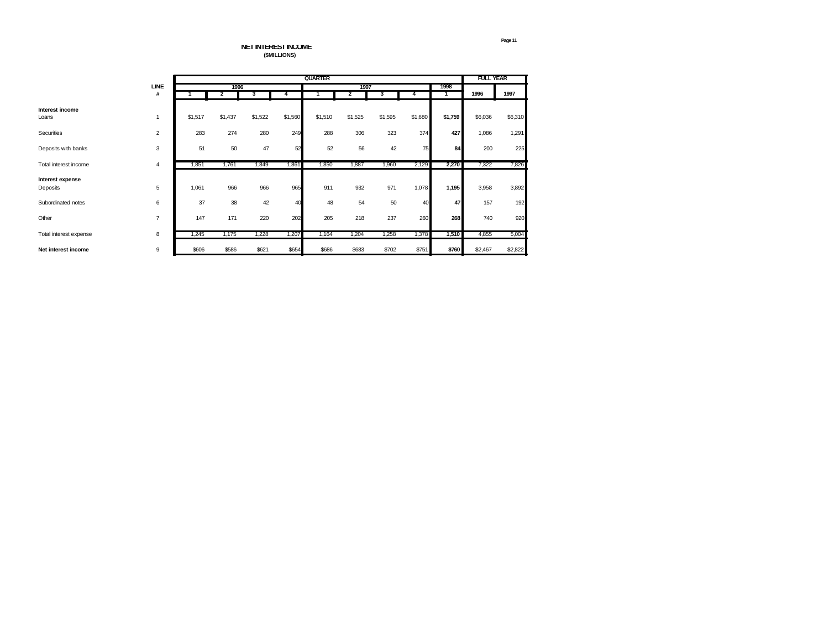**NET INTEREST INCOME (\$MILLIONS)**

|                              |                |         |         |         |         | <b>QUARTER</b> |         |         | <b>FULL YEAR</b> |         |         |         |
|------------------------------|----------------|---------|---------|---------|---------|----------------|---------|---------|------------------|---------|---------|---------|
|                              | LINE           |         | 1996    |         |         |                | 1997    |         |                  | 1998    |         |         |
|                              | #              |         | 2       | 3       |         |                | 2       |         |                  |         | 1996    | 1997    |
| Interest income<br>Loans     | 1              | \$1,517 | \$1,437 | \$1,522 | \$1,560 | \$1,510        | \$1,525 | \$1,595 | \$1,680          | \$1,759 | \$6,036 | \$6,310 |
| Securities                   | $\overline{2}$ | 283     | 274     | 280     | 249     | 288            | 306     | 323     | 374              | 427     | 1,086   | 1,291   |
| Deposits with banks          | 3              | 51      | 50      | 47      | 52      | 52             | 56      | 42      | 75               | 84      | 200     | 225     |
| Total interest income        | 4              | 1,851   | 1,761   | 1,849   | 1,861   | 1,850          | 1,887   | 1,960   | 2,129            | 2,270   | 7,322   | 7,826   |
| Interest expense<br>Deposits | 5              | 1,061   | 966     | 966     | 965     | 911            | 932     | 971     | 1,078            | 1,195   | 3,958   | 3,892   |
| Subordinated notes           | 6              | 37      | 38      | 42      | 40      | 48             | 54      | 50      | 40               | 47      | 157     | 192     |
| Other                        | $\overline{7}$ | 147     | 171     | 220     | 202     | 205            | 218     | 237     | 260              | 268     | 740     | 920     |
| Total interest expense       | 8              | 1,245   | 1,175   | 1,228   | 1,207   | 1,164          | 1,204   | 1,258   | 1,378            | 1,510   | 4,855   | 5,004   |
| Net interest income          | 9              | \$606   | \$586   | \$621   | \$654   | \$686          | \$683   | \$702   | \$751            | \$760   | \$2,467 | \$2,822 |

**Page 11**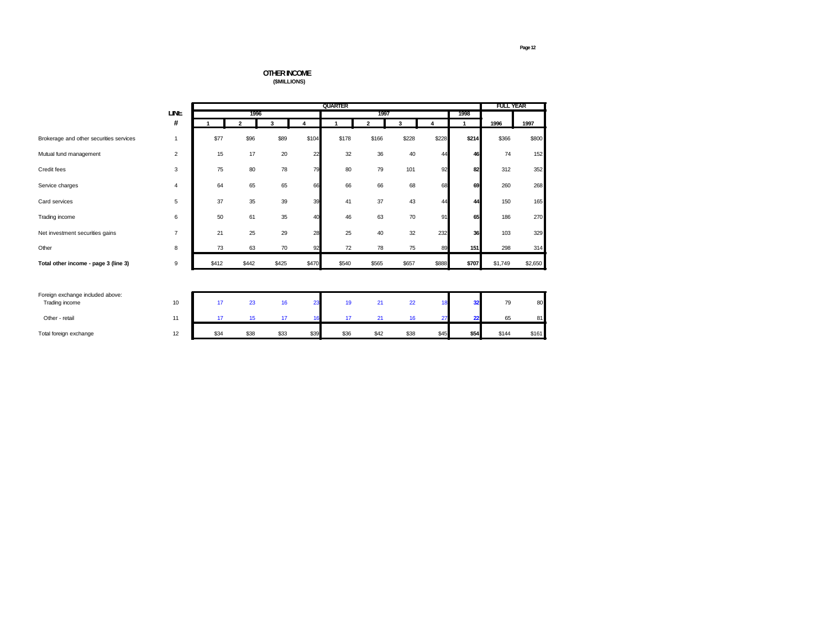## **OTHER INCOME (\$MILLIONS)**

|                                         |                |       | <b>FULL YEAR</b> |       |                         |       |                |       |       |              |         |         |
|-----------------------------------------|----------------|-------|------------------|-------|-------------------------|-------|----------------|-------|-------|--------------|---------|---------|
|                                         | <b>LINE</b>    |       | 1996             |       |                         |       | 1997           |       |       | 1998         |         |         |
|                                         | #              |       | $\mathbf{2}$     | 3     | $\overline{\mathbf{4}}$ | 1     | $\overline{2}$ | 3     | 4     | $\mathbf{1}$ | 1996    | 1997    |
| Brokerage and other securities services | 1              | \$77  | \$96             | \$89  | \$104                   | \$178 | \$166          | \$228 | \$228 | \$214        | \$366   | \$800   |
| Mutual fund management                  | $\overline{2}$ | 15    | 17               | 20    | 22                      | 32    | 36             | 40    | 44    | 46           | 74      | 152     |
| Credit fees                             | 3              | 75    | 80               | 78    | 79                      | 80    | 79             | 101   | 92    | 82           | 312     | 352     |
| Service charges                         | 4              | 64    | 65               | 65    | 66                      | 66    | 66             | 68    | 68    | 69           | 260     | 268     |
| Card services                           | 5              | 37    | 35               | 39    | 39                      | 41    | 37             | 43    | 44    | 44           | 150     | 165     |
| Trading income                          | 6              | 50    | 61               | 35    | 40                      | 46    | 63             | 70    | 91    | 65           | 186     | 270     |
| Net investment securities gains         | $\overline{7}$ | 21    | 25               | 29    | 28                      | 25    | 40             | 32    | 232   | 36           | 103     | 329     |
| Other                                   | 8              | 73    | 63               | 70    | 92                      | 72    | 78             | 75    | 89    | 151          | 298     | 314     |
| Total other income - page 3 (line 3)    | 9              | \$412 | \$442            | \$425 | \$470                   | \$540 | \$565          | \$657 | \$888 | \$707        | \$1,749 | \$2,650 |
|                                         |                |       |                  |       |                         |       |                |       |       |              |         |         |
| Foreign exchange included above:        |                |       |                  |       |                         |       |                |       |       |              |         |         |
| Trading income                          | 10             | 17    | 23               | 16    | 23                      | 19    | 21             | 22    | 18    | 32           | 79      | 80      |
| Other - retail                          | 11             | 17    | 15               | 17    | 16                      | 17    | 21             | 16    | 27    | 22           | 65      | 81      |
| Total foreign exchange                  | 12             | \$34  | \$38             | \$33  | \$39                    | \$36  | \$42           | \$38  | \$45  | \$54         | \$144   | \$161   |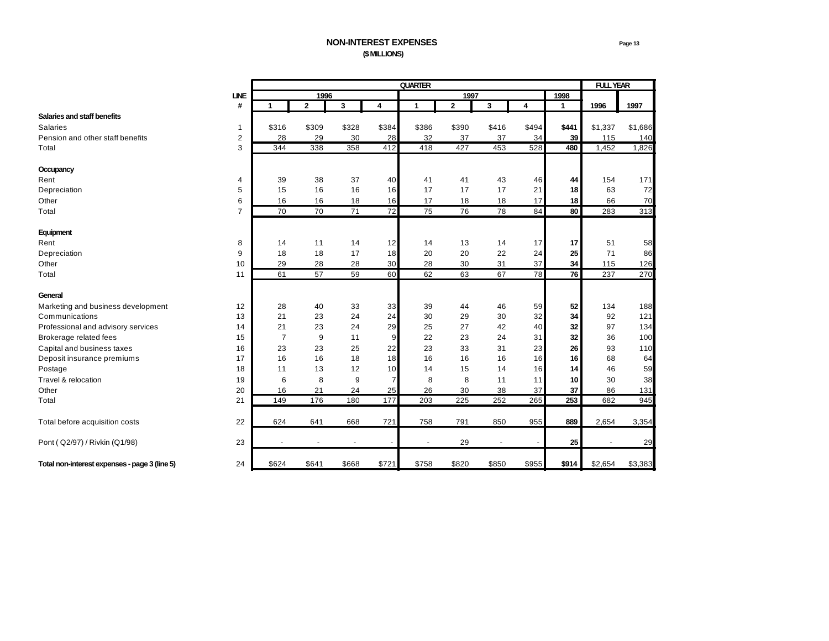|                                               |                |                |              |       |                | <b>QUARTER</b> |                |                          |       |              | <b>FULL YEAR</b> |         |
|-----------------------------------------------|----------------|----------------|--------------|-------|----------------|----------------|----------------|--------------------------|-------|--------------|------------------|---------|
|                                               | <b>LINE</b>    |                | 1996         |       |                |                | 1997           |                          |       | 1998         |                  |         |
|                                               | #              | 1              | $\mathbf{2}$ | 3     | 4              | $\mathbf{1}$   | $\overline{2}$ | 3                        | 4     | $\mathbf{1}$ | 1996             | 1997    |
| Salaries and staff benefits                   |                |                |              |       |                |                |                |                          |       |              |                  |         |
| <b>Salaries</b>                               | 1              | \$316          | \$309        | \$328 | \$384          | \$386          | \$390          | \$416                    | \$494 | \$441        | \$1,337          | \$1,686 |
| Pension and other staff benefits              | 2              | 28             | 29           | 30    | 28             | 32             | 37             | 37                       | 34    | 39           | 115              | 140     |
| Total                                         | 3              | 344            | 338          | 358   | 412            | 418            | 427            | 453                      | 528   | 480          | 1,452            | 1,826   |
| Occupancy                                     |                |                |              |       |                |                |                |                          |       |              |                  |         |
| Rent                                          | $\overline{4}$ | 39             | 38           | 37    | 40             | 41             | 41             | 43                       | 46    | 44           | 154              | 171     |
| Depreciation                                  | 5              | 15             | 16           | 16    | 16             | 17             | 17             | 17                       | 21    | 18           | 63               | 72      |
| Other                                         | 6              | 16             | 16           | 18    | 16             | 17             | 18             | 18                       | 17    | 18           | 66               | 70      |
| Total                                         | $\overline{7}$ | 70             | 70           | 71    | 72             | 75             | 76             | 78                       | 84    | 80           | 283              | 313     |
| Equipment                                     |                |                |              |       |                |                |                |                          |       |              |                  |         |
| Rent                                          | 8              | 14             | 11           | 14    | 12             | 14             | 13             | 14                       | 17    | 17           | 51               | 58      |
| Depreciation                                  | 9              | 18             | 18           | 17    | 18             | 20             | 20             | 22                       | 24    | 25           | 71               | 86      |
| Other                                         | 10             | 29             | 28           | 28    | 30             | 28             | 30             | 31                       | 37    | 34           | 115              | 126     |
| Total                                         | 11             | 61             | 57           | 59    | 60             | 62             | 63             | 67                       | 78    | 76           | 237              | 270     |
| General                                       |                |                |              |       |                |                |                |                          |       |              |                  |         |
| Marketing and business development            | 12             | 28             | 40           | 33    | 33             | 39             | 44             | 46                       | 59    | 52           | 134              | 188     |
| Communications                                | 13             | 21             | 23           | 24    | 24             | 30             | 29             | 30                       | 32    | 34           | 92               | 121     |
| Professional and advisory services            | 14             | 21             | 23           | 24    | 29             | 25             | 27             | 42                       | 40    | 32           | 97               | 134     |
| Brokerage related fees                        | 15             | $\overline{7}$ | 9            | 11    | 9              | 22             | 23             | 24                       | 31    | 32           | 36               | 100     |
| Capital and business taxes                    | 16             | 23             | 23           | 25    | 22             | 23             | 33             | 31                       | 23    | 26           | 93               | 110     |
| Deposit insurance premiums                    | 17             | 16             | 16           | 18    | 18             | 16             | 16             | 16                       | 16    | 16           | 68               | 64      |
| Postage                                       | 18             | 11             | 13           | 12    | 10             | 14             | 15             | 14                       | 16    | 14           | 46               | 59      |
| Travel & relocation                           | 19             | 6              | 8            | 9     | $\overline{7}$ | 8              | 8              | 11                       | 11    | 10           | 30               | 38      |
| Other                                         | 20             | 16             | 21           | 24    | 25             | 26             | 30             | 38                       | 37    | 37           | 86               | 131     |
| Total                                         | 21             | 149            | 176          | 180   | 177            | 203            | 225            | 252                      | 265   | 253          | 682              | 945     |
| Total before acquisition costs                | 22             | 624            | 641          | 668   | 721            | 758            | 791            | 850                      | 955   | 889          | 2,654            | 3,354   |
| Pont (Q2/97) / Rivkin (Q1/98)                 | 23             |                |              |       |                |                | 29             | $\overline{\phantom{a}}$ |       | 25           |                  | 29      |
| Total non-interest expenses - page 3 (line 5) | 24             | \$624          | \$641        | \$668 | \$721          | \$758          | \$820          | \$850                    | \$955 | \$914        | \$2,654          | \$3,383 |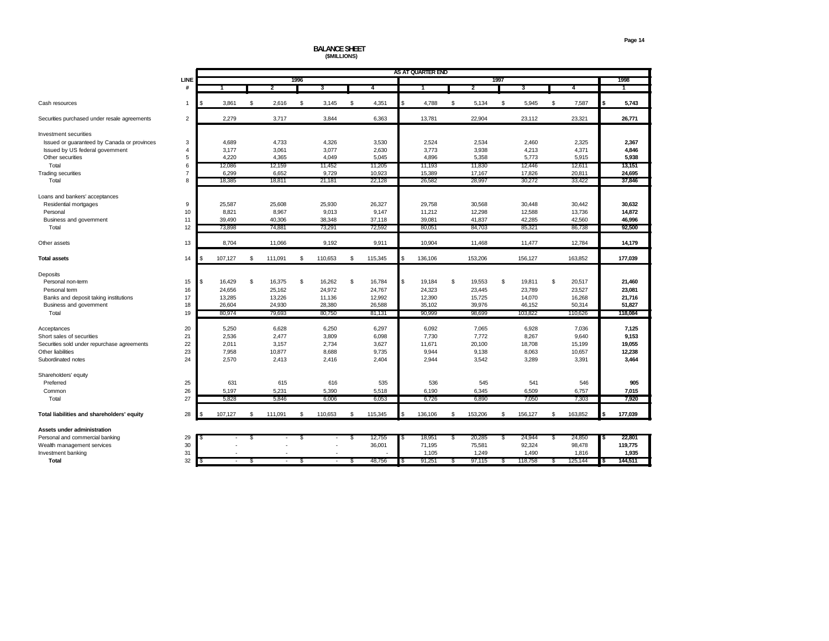# **BALANCE SHEET (\$MILLIONS)**

|                                              |                |                          |    |         |      |         |    |         | AS AT QUARTER END |    |                |               |         |    |         |    |         |
|----------------------------------------------|----------------|--------------------------|----|---------|------|---------|----|---------|-------------------|----|----------------|---------------|---------|----|---------|----|---------|
|                                              | <b>LINE</b>    |                          |    |         | 1996 |         |    |         |                   |    |                | 1997          |         |    |         |    | 1998    |
|                                              | #              |                          |    | 2       |      | 3       |    | 4       |                   |    | $\overline{2}$ |               | 3       |    | 4       |    |         |
|                                              |                |                          |    |         |      |         |    |         |                   |    |                |               |         |    |         |    |         |
| Cash resources                               | $\mathbf{1}$   | 3,861                    | \$ | 2,616   | \$   | 3,145   | \$ | 4,351   | \$<br>4,788       | \$ | 5,134          | \$            | 5,945   | \$ | 7,587   | \$ | 5,743   |
| Securities purchased under resale agreements | $\overline{2}$ | 2.279                    |    | 3,717   |      | 3.844   |    | 6.363   | 13,781            |    | 22,904         |               | 23,112  |    | 23,321  |    | 26,771  |
| Investment securities                        |                |                          |    |         |      |         |    |         |                   |    |                |               |         |    |         |    |         |
| Issued or guaranteed by Canada or provinces  | 3              | 4,689                    |    | 4,733   |      | 4,326   |    | 3,530   | 2,524             |    | 2,534          |               | 2,460   |    | 2,325   |    | 2,367   |
| Issued by US federal government              | $\overline{4}$ | 3,177                    |    | 3,061   |      | 3,077   |    | 2,630   | 3,773             |    | 3,938          |               | 4,213   |    | 4,371   |    | 4,846   |
| Other securities                             | 5              | 4,220                    |    | 4,365   |      | 4,049   |    | 5,045   | 4,896             |    | 5,358          |               | 5,773   |    | 5,915   |    | 5,938   |
| Total                                        | 6              | 12,086                   |    | 12,159  |      | 11,452  |    | 11,205  | 11,193            |    | 11,830         |               | 12,446  |    | 12,611  |    | 13,151  |
| <b>Trading securities</b>                    | $\overline{7}$ | 6,299                    |    | 6,652   |      | 9,729   |    | 10,923  | 15,389            |    | 17,167         |               | 17,826  |    | 20,811  |    | 24,695  |
| Total                                        | 8              | 18,385                   |    | 18,811  |      | 21,181  |    | 22,128  | 26,582            |    | 28,997         |               | 30,272  |    | 33,422  |    | 37,846  |
|                                              |                |                          |    |         |      |         |    |         |                   |    |                |               |         |    |         |    |         |
| Loans and bankers' acceptances               |                |                          |    |         |      |         |    |         |                   |    |                |               |         |    |         |    |         |
| Residential mortgages                        | 9              | 25,587                   |    | 25,608  |      | 25,930  |    | 26,327  | 29,758            |    | 30,568         |               | 30,448  |    | 30,442  |    | 30,632  |
| Personal                                     | 10             | 8,821                    |    | 8,967   |      | 9,013   |    | 9,147   | 11,212            |    | 12,298         |               | 12,588  |    | 13,736  |    | 14,872  |
| Business and government                      | 11             | 39,490                   |    | 40,306  |      | 38,348  |    | 37,118  | 39,081            |    | 41,837         |               | 42,285  |    | 42,560  |    | 46,996  |
| Total                                        | 12             | 73,898                   |    | 74,881  |      | 73,291  |    | 72,592  | 80,051            |    | 84,703         |               | 85,321  |    | 86,738  |    | 92,500  |
| Other assets                                 | 13             | 8,704                    |    | 11,066  |      | 9,192   |    | 9,911   | 10,904            |    | 11,468         |               | 11,477  |    | 12,784  |    | 14,179  |
|                                              |                |                          |    |         |      |         |    |         |                   |    |                |               |         |    |         |    |         |
| <b>Total assets</b>                          | 14             | 107,127                  | \$ | 111,091 | \$   | 110,653 | \$ | 115,345 | \$<br>136,106     |    | 153,206        |               | 156,127 |    | 163,852 |    | 177.039 |
| Deposits                                     |                |                          |    |         |      |         |    |         |                   |    |                |               |         |    |         |    |         |
| Personal non-term                            | 15             | \$<br>16,429             | \$ | 16,375  | \$   | 16,262  | \$ | 16,784  | \$<br>19,184      | \$ | 19,553         | <sup>\$</sup> | 19,811  | \$ | 20,517  |    | 21,460  |
| Personal term                                | 16             | 24,656                   |    | 25,162  |      | 24,972  |    | 24,767  | 24,323            |    | 23,445         |               | 23,789  |    | 23,527  |    | 23,081  |
| Banks and deposit taking institutions        | 17             | 13,285                   |    | 13,226  |      | 11,136  |    | 12,992  | 12,390            |    | 15,725         |               | 14,070  |    | 16,268  |    | 21,716  |
| Business and government                      | 18             | 26,604                   |    | 24,930  |      | 28,380  |    | 26,588  | 35,102            |    | 39,976         |               | 46,152  |    | 50,314  |    | 51,827  |
| Total                                        | 19             | 80,974                   |    | 79,693  |      | 80,750  |    | 81,131  | 90,999            |    | 98,699         |               | 103,822 |    | 110,626 |    | 118,084 |
|                                              |                |                          |    |         |      |         |    |         |                   |    |                |               |         |    |         |    |         |
| Acceptances                                  | 20             | 5,250                    |    | 6,628   |      | 6,250   |    | 6,297   | 6,092             |    | 7,065          |               | 6,928   |    | 7.036   |    | 7,125   |
| Short sales of securities                    | 21             | 2,536                    |    | 2,477   |      | 3,809   |    | 6,098   | 7,730             |    | 7,772          |               | 8,267   |    | 9,640   |    | 9,153   |
| Securities sold under repurchase agreements  | 22             | 2,011                    |    | 3,157   |      | 2,734   |    | 3,627   | 11,671            |    | 20,100         |               | 18,708  |    | 15,199  |    | 19,055  |
| Other liabilities                            | 23             | 7,958                    |    | 10,877  |      | 8,688   |    | 9,735   | 9,944             |    | 9,138          |               | 8,063   |    | 10,657  |    | 12,238  |
| Subordinated notes                           | 24             | 2,570                    |    | 2,413   |      | 2,416   |    | 2,404   | 2,944             |    | 3,542          |               | 3,289   |    | 3,391   |    | 3,464   |
| Shareholders' equity                         |                |                          |    |         |      |         |    |         |                   |    |                |               |         |    |         |    |         |
| Preferred                                    | 25             | 631                      |    | 615     |      | 616     |    | 535     | 536               |    | 545            |               | 541     |    | 546     |    | 905     |
| Common                                       | 26             | 5,197                    |    | 5,231   |      | 5,390   |    | 5,518   | 6,190             |    | 6,345          |               | 6,509   |    | 6,757   |    | 7,015   |
| Total                                        | 27             | 5,828                    |    | 5,846   |      | 6,006   |    | 6,053   | 6,726             |    | 6,890          |               | 7,050   |    | 7,303   |    | 7.920   |
|                                              |                |                          |    |         |      |         |    |         |                   |    |                |               |         |    |         |    |         |
| Total liabilities and shareholders' equity   | 28             | 107,127                  | \$ | 111,091 | \$   | 110,653 | \$ | 115,345 | 136,106           | \$ | 153,206        | s.            | 156,127 | \$ | 163,852 | \$ | 177,039 |
| Assets under administration                  |                |                          |    |         |      |         |    |         |                   |    |                |               |         |    |         |    |         |
| Personal and commercial banking              | 29             |                          | S  |         |      |         | £. | 12,755  | 18,951            | £. | 20,285         | \$            | 24,944  | S. | 24,850  | S  | 22,801  |
| Wealth management services                   | 30             |                          |    |         |      |         |    | 36,001  | 71,195            |    | 75,581         |               | 92,324  |    | 98,478  |    | 119,775 |
| Investment banking                           | 31             |                          |    |         |      |         |    |         | 1,105             |    | 1,249          |               | 1,490   |    | 1,816   |    | 1,935   |
| Total                                        | 32             | $\overline{\phantom{a}}$ | S  | ٠       | \$   |         | S  | 48,756  | 91,251            | S  | 97,115         | \$            | 118,758 | S. | 125,144 | \$ | 144,511 |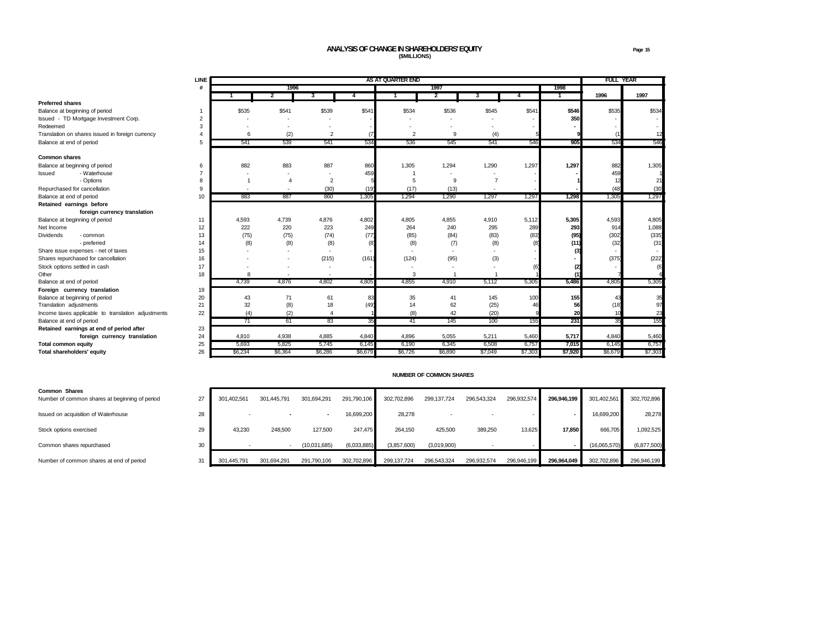# **ANALYSIS OF CHANGE IN SHAREHOLDERS' EQUITY Page 15 (\$MILLIONS)**

| <b>LINE</b>                                                        | AS AT QUARTER END |         |                |         |              |         |                |         |         |         | <b>FULL YEAR</b> |
|--------------------------------------------------------------------|-------------------|---------|----------------|---------|--------------|---------|----------------|---------|---------|---------|------------------|
| #                                                                  |                   | 1996    |                |         |              | 1997    |                |         | 1998    |         |                  |
|                                                                    |                   | 2       | 3              | 4       | $\mathbf{1}$ | 2       | 3              | 4       | 1       | 1996    | 1997             |
| <b>Preferred shares</b>                                            |                   |         |                |         |              |         |                |         |         |         |                  |
| Balance at beginning of period                                     | \$535             | \$541   | \$539          | \$541   | \$534        | \$536   | \$545          | \$541   | \$546   | \$535   | \$534            |
| Issued - TD Mortgage Investment Corp.<br>$\overline{2}$            |                   |         |                |         |              |         |                |         | 350     |         |                  |
| 3<br>Redeemed                                                      |                   |         |                |         |              |         |                |         |         |         |                  |
| Translation on shares issued in foreign currency<br>$\overline{a}$ | 6                 | (2)     | $\overline{2}$ |         | 2            | 9       | (4)            |         |         |         |                  |
| 5<br>Balance at end of period                                      | 541               | 539     | 541            | 534     | 536          | 545     | 541            | 546     | 905     | 534     | 546              |
| <b>Common shares</b>                                               |                   |         |                |         |              |         |                |         |         |         |                  |
| Balance at beginning of period<br>6                                | 882               | 883     | 887            | 860     | 1,305        | 1,294   | 1,290          | 1,297   | 1,297   | 882     | 1,305            |
| - Waterhouse<br>$\overline{7}$<br>Issued                           |                   |         |                | 459     |              |         |                |         |         | 459     |                  |
| - Options<br>8                                                     |                   | 4       | $\overline{2}$ |         | 5            | 9       | $\overline{7}$ |         |         | 12      | 21               |
| Repurchased for cancellation<br>9                                  |                   |         | (30)           | (19)    | (17)         | (13)    |                |         |         | (48)    | (30)             |
| Balance at end of period<br>10                                     | 883               | 887     | 860            | 1,305   | 1,294        | 1.290   | 1,297          | 1,297   | 1,298   | 1,305   | 1,297            |
| Retained earnings before                                           |                   |         |                |         |              |         |                |         |         |         |                  |
| foreign currency translation                                       |                   |         |                |         |              |         |                |         |         |         |                  |
| Balance at beginning of period<br>11                               | 4,593             | 4,739   | 4,876          | 4,802   | 4,805        | 4.855   | 4,910          | 5,112   | 5,305   | 4,593   | 4,805            |
| Net Income<br>12                                                   | 222               | 220     | 223            | 249     | 264          | 240     | 295            | 289     | 293     | 914     | 1,088            |
| <b>Dividends</b><br>13<br>- common                                 | (75)              | (75)    | (74)           | (77)    | (85)         | (84)    | (83)           | (83)    | (95)    | (302)   | (335)            |
| - preferred<br>14                                                  | (8)               | (8)     | (8)            |         | (8)          | (7)     | (8)            |         | (11)    | (32)    | (31)             |
| Share issue expenses - net of taxes<br>15                          |                   |         |                |         |              |         |                |         | (3)     |         |                  |
| 16<br>Shares repurchased for cancellation                          |                   |         | (215)          | (161)   | (124)        | (95)    | (3)            |         |         | (375)   | (222)            |
| Stock options settled in cash<br>17                                |                   |         |                |         |              |         |                |         | (2)     |         | (6)              |
| Other<br>18                                                        | 8                 |         |                |         | 3            |         |                |         | (1)     |         |                  |
| Balance at end of period                                           | 4,739             | 4.876   | 4,802          | 4,805   | 4,855        | 4,910   | 5,112          | 5,305   | 5,486   | 4,805   | 5,305            |
| Foreign currency translation<br>19                                 |                   |         |                |         |              |         |                |         |         |         |                  |
| 20<br>Balance at beginning of period                               | 43                | 71      | 61             | 83      | 35           | 41      | 145            | 100     | 155     | 43      | 35               |
| 21<br>Translation adjustments                                      | 32                | (8)     | 18             | (49)    | 14           | 62      | (25)           | 46      | 56      | (18)    | 97               |
| 22<br>Income taxes applicable to translation adjustments           | (4)               | (2)     | $\overline{4}$ |         | (8)          | 42      | (20)           |         | 20      | 10      | 23               |
| Balance at end of period                                           | 71                | 61      | 83             | 35      | 41           | 145     | 100            | 155     | 231     | 35      | 155              |
| Retained earnings at end of period after<br>23                     |                   |         |                |         |              |         |                |         |         |         |                  |
| 24<br>foreign currency translation                                 | 4,810             | 4,938   | 4,885          | 4,840   | 4,896        | 5,055   | 5,211          | 5,460   | 5,717   | 4,840   | 5,460            |
| 25<br><b>Total common equity</b>                                   | 5,693             | 5,825   | 5,745          | 6,145   | 6,190        | 6,345   | 6,508          | 6,757   | 7,015   | 6,145   | 6,757            |
| 26<br>Total shareholders' equity                                   | \$6,234           | \$6,364 | \$6,286        | \$6,679 | \$6,726      | \$6,890 | \$7,049        | \$7,303 | \$7,920 | \$6,679 | \$7,303          |

#### **NUMBER OF COMMON SHARES**

| <b>Common Shares</b><br>Number of common shares at beginning of period | 27 | 301.402.561 | 301.445.791 | 301,694,291              | 291,790,106 | 302.702.896 | 299,137,724 | 296.543.324 | 296,932,574 | 296.946.199 | 301,402,561  | 302,702,896 |
|------------------------------------------------------------------------|----|-------------|-------------|--------------------------|-------------|-------------|-------------|-------------|-------------|-------------|--------------|-------------|
| Issued on acquisition of Waterhouse                                    | 28 |             |             | $\overline{\phantom{0}}$ | 16.699.200  | 28,278      |             |             |             |             | 16,699,200   | 28.278      |
| Stock options exercised                                                | 29 | 43,230      | 248,500     | 127,500                  | 247,475     | 264.150     | 425,500     | 389,250     | 13,625      | 17.850      | 666,705      | 1,092,525   |
| Common shares repurchased                                              | 30 |             |             | (10,031,685)             | (6,033,885) | (3.857.600) | (3,019,900) |             |             |             | (16.065.570) | (6,877,500) |
| Number of common shares at end of period                               | 31 | 301.445.791 | 301.694.291 | 291.790.106              | 302.702.896 | 299.137.724 | 296.543.324 | 296.932.574 | 296.946.199 | 296.964.049 | 302,702,896  | 296,946,199 |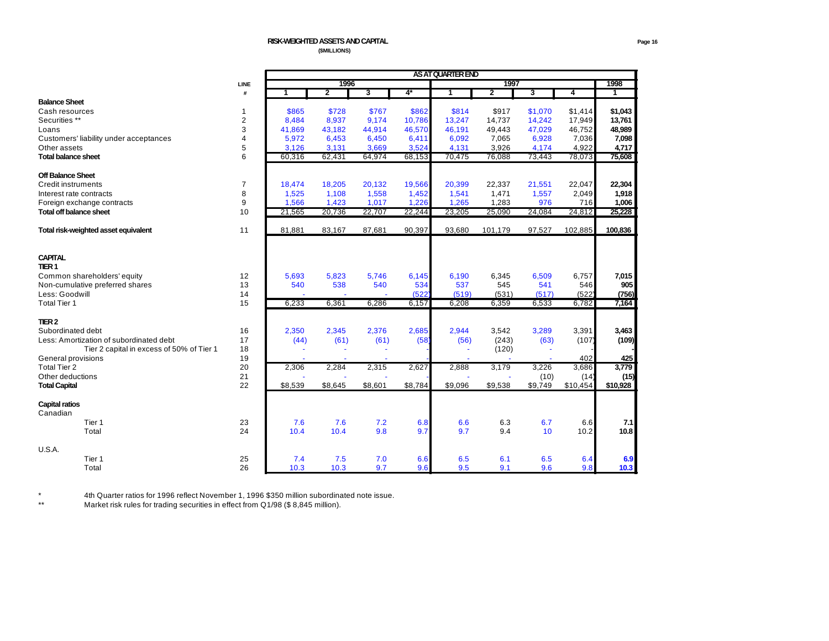|                                           | AS AT QUARTER END |         |                |         |         |         |                |                       |          |          |  |
|-------------------------------------------|-------------------|---------|----------------|---------|---------|---------|----------------|-----------------------|----------|----------|--|
|                                           | LINE              |         | 1996           |         |         |         | 1997           |                       |          | 1998     |  |
|                                           | #                 | 1       | $\overline{2}$ | 3       | $4*$    | 1       | $\overline{2}$ | 3                     | 4        | 1        |  |
| <b>Balance Sheet</b>                      |                   |         |                |         |         |         |                |                       |          |          |  |
| Cash resources                            | 1                 | \$865   | \$728          | \$767   | \$862   | \$814   | \$917          | \$1,070               | \$1,414  | \$1,043  |  |
| Securities **                             | $\overline{2}$    | 8,484   | 8,937          | 9,174   | 10,786  | 13,247  | 14,737         | 14,242                | 17,949   | 13,761   |  |
| Loans                                     | 3                 | 41,869  | 43,182         | 44,914  | 46,570  | 46,191  | 49,443         | 47,029                | 46,752   | 48,989   |  |
| Customers' liability under acceptances    | $\overline{4}$    | 5,972   | 6,453          | 6,450   | 6,411   | 6,092   | 7,065          | 6,928                 | 7,036    | 7,098    |  |
| Other assets                              | 5                 | 3,126   | 3,131          | 3,669   | 3,524   | 4,131   | 3,926          | 4,174                 | 4.922    | 4,717    |  |
| <b>Total balance sheet</b>                | 6                 | 60,316  | 62,431         | 64,974  | 68,153  | 70,475  | 76,088         | 73,443                | 78,073   | 75,608   |  |
|                                           |                   |         |                |         |         |         |                |                       |          |          |  |
| <b>Off Balance Sheet</b>                  |                   |         |                |         |         |         |                |                       |          |          |  |
| <b>Credit instruments</b>                 | $\overline{7}$    | 18,474  | 18,205         | 20,132  | 19,566  | 20,399  | 22,337         | 21,551                | 22,047   | 22,304   |  |
| Interest rate contracts                   | 8                 | 1,525   | 1,108          | 1,558   | 1,452   | 1,541   | 1,471          | 1,557                 | 2,049    | 1,918    |  |
| Foreign exchange contracts                | 9                 | 1,566   | 1,423          | 1,017   | 1,226   | 1,265   | 1,283          | 976                   | 716      | 1,006    |  |
| <b>Total off balance sheet</b>            | 10                | 21,565  | 20,736         | 22,707  | 22,244  | 23,205  | 25,090         | 24,084                | 24,812   | 25,228   |  |
|                                           |                   |         |                |         |         |         |                |                       |          |          |  |
| Total risk-weighted asset equivalent      | 11                | 81,881  | 83,167         | 87,681  | 90,397  | 93,680  | 101,179        | 97,527                | 102,885  | 100,836  |  |
|                                           |                   |         |                |         |         |         |                |                       |          |          |  |
|                                           |                   |         |                |         |         |         |                |                       |          |          |  |
| <b>CAPITAL</b>                            |                   |         |                |         |         |         |                |                       |          |          |  |
| TIER <sub>1</sub>                         |                   |         |                |         |         |         |                |                       |          |          |  |
| Common shareholders' equity               | 12                | 5.693   | 5,823          | 5.746   | 6,145   | 6,190   | 6,345          | 6,509                 | 6,757    | 7,015    |  |
| Non-cumulative preferred shares           | 13                | 540     | 538            | 540     | 534     | 537     | 545            | 541                   | 546      | 905      |  |
| Less: Goodwill                            | 14                |         |                |         | (522)   | (519)   | (531)          | (517)                 | (522)    | (756)    |  |
| <b>Total Tier 1</b>                       | 15                | 6,233   | 6,361          | 6,286   | 6,157   | 6,208   | 6,359          | 6,533                 | 6,782    | 7,164    |  |
|                                           |                   |         |                |         |         |         |                |                       |          |          |  |
| TIER <sub>2</sub>                         |                   |         |                |         |         |         |                |                       |          |          |  |
| Subordinated debt                         | 16                | 2,350   | 2,345          | 2,376   | 2,685   | 2,944   | 3,542          | 3,289                 | 3,391    | 3,463    |  |
| Less: Amortization of subordinated debt   | 17                | (44)    | (61)           | (61)    | (58)    | (56)    | (243)          | (63)                  | (107)    | (109)    |  |
| Tier 2 capital in excess of 50% of Tier 1 | 18                |         | ÷,             |         |         |         | (120)          | $\tilde{\phantom{a}}$ |          |          |  |
| General provisions                        | 19                |         |                |         |         |         |                |                       | 402      | 425      |  |
| <b>Total Tier 2</b>                       | 20                | 2,306   | 2,284          | 2,315   | 2,627   | 2,888   | 3,179          | 3,226                 | 3,686    | 3,779    |  |
| Other deductions                          | 21                |         |                |         |         |         |                | (10)                  | (14)     | (15)     |  |
| <b>Total Capital</b>                      | 22                | \$8,539 | \$8,645        | \$8,601 | \$8,784 | \$9,096 | \$9,538        | \$9,749               | \$10,454 | \$10,928 |  |
|                                           |                   |         |                |         |         |         |                |                       |          |          |  |
| <b>Capital ratios</b>                     |                   |         |                |         |         |         |                |                       |          |          |  |
| Canadian                                  |                   |         |                |         |         |         |                |                       |          |          |  |
| Tier 1                                    | 23                | 7.6     | 7.6            | 7.2     | 6.8     | 6.6     | 6.3            | 6.7                   | 6.6      | 7.1      |  |
| Total                                     | 24                | 10.4    | 10.4           | 9.8     | 9.7     | 9.7     | 9.4            | 10 <sup>°</sup>       | 10.2     | 10.8     |  |
|                                           |                   |         |                |         |         |         |                |                       |          |          |  |
| U.S.A.                                    |                   |         |                |         |         |         |                |                       |          |          |  |
| Tier 1                                    | 25                | 7.4     | 7.5            | 7.0     | 6.6     | 6.5     | 6.1            | 6.5                   | 6.4      | 6.9      |  |
| Total                                     | 26                | 10.3    | 10.3           | 9.7     | 9.6     | 9.5     | 9.1            | 9.6                   | 9.8      | 10.3     |  |
|                                           |                   |         |                |         |         |         |                |                       |          |          |  |

\* 4th Quarter ratios for 1996 reflect November 1, 1996 \$350 million subordinated note issue.

\*\* Market risk rules for trading securities in effect from Q1/98 (\$ 8,845 million).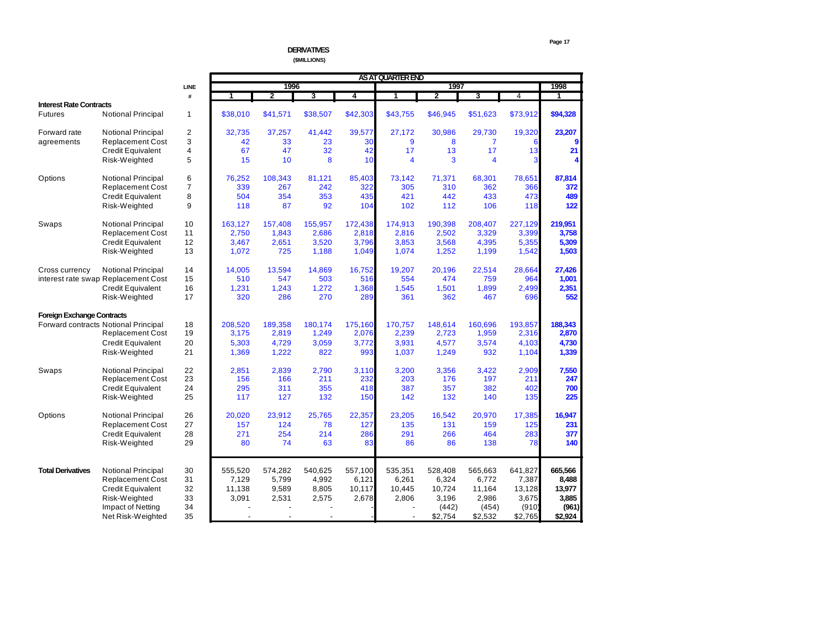## **DERIVATIVES (\$MILLIONS)**

|                                   |                                      |                |          |                |          |          | AS AT QUARTER END       |                         |                         |                |          |
|-----------------------------------|--------------------------------------|----------------|----------|----------------|----------|----------|-------------------------|-------------------------|-------------------------|----------------|----------|
|                                   |                                      | LINE           |          | 1996           |          |          |                         | 1997                    |                         |                | 1998     |
|                                   |                                      | #              | 1        | $\overline{2}$ | 3        | 4        | 1                       | $\overline{\mathbf{2}}$ | 3                       | $\overline{4}$ | 1        |
| <b>Interest Rate Contracts</b>    |                                      |                |          |                |          |          |                         |                         |                         |                |          |
| <b>Futures</b>                    | <b>Notional Principal</b>            | $\mathbf{1}$   | \$38.010 | \$41.571       | \$38.507 | \$42,303 | \$43,755                | \$46,945                | \$51.623                | \$73,912       | \$94,328 |
| Forward rate                      | <b>Notional Principal</b>            | $\overline{2}$ | 32,735   | 37,257         | 41,442   | 39,577   | 27,172                  | 30.986                  | 29,730                  | 19,320         | 23,207   |
| agreements                        | <b>Replacement Cost</b>              | 3              | 42       | 33             | 23       | 30       | 9                       | 8                       | $\overline{7}$          |                | 9        |
|                                   | <b>Credit Equivalent</b>             | 4              | 67       | 47             | 32       | 42       | 17                      | 13                      | 17                      | 13             | 21       |
|                                   | Risk-Weighted                        | 5              | 15       | 10             | 8        | 10       | $\overline{\mathbf{4}}$ | 3                       | $\overline{\mathbf{4}}$ | 3              | Δ        |
| Options                           | <b>Notional Principal</b>            | 6              | 76,252   | 108,343        | 81,121   | 85,403   | 73,142                  | 71,371                  | 68,301                  | 78,651         | 87,814   |
|                                   | <b>Replacement Cost</b>              | $\overline{7}$ | 339      | 267            | 242      | 322      | 305                     | 310                     | 362                     | 366            | 372      |
|                                   | Credit Equivalent                    | 8              | 504      | 354            | 353      | 435      | 421                     | 442                     | 433                     | 473            | 489      |
|                                   | Risk-Weighted                        | 9              | 118      | 87             | 92       | 104      | 102                     | 112                     | 106                     | 118            | 122      |
| Swaps                             | <b>Notional Principal</b>            | 10             | 163,127  | 157,408        | 155,957  | 172,438  | 174,913                 | 190,398                 | 208,407                 | 227,129        | 219,951  |
|                                   | <b>Replacement Cost</b>              | 11             | 2,750    | 1,843          | 2,686    | 2,818    | 2,816                   | 2,502                   | 3,329                   | 3,399          | 3,758    |
|                                   | <b>Credit Equivalent</b>             | 12             | 3,467    | 2,651          | 3,520    | 3,796    | 3,853                   | 3,568                   | 4,395                   | 5,355          | 5,309    |
|                                   | Risk-Weighted                        | 13             | 1,072    | 725            | 1,188    | 1,049    | 1,074                   | 1,252                   | 1,199                   | 1,542          | 1,503    |
| Cross currency                    | <b>Notional Principal</b>            | 14             | 14,005   | 13,594         | 14,869   | 16,752   | 19,207                  | 20.196                  | 22,514                  | 28,664         | 27,426   |
|                                   | interest rate swap Replacement Cost  | 15             | 510      | 547            | 503      | 516      | 554                     | 474                     | 759                     | 964            | 1,001    |
|                                   | Credit Equivalent                    | 16             | 1,231    | 1,243          | 1,272    | 1,368    | 1,545                   | 1,501                   | 1,899                   | 2,499          | 2,351    |
|                                   | Risk-Weighted                        | 17             | 320      | 286            | 270      | 289      | 361                     | 362                     | 467                     | 696            | 552      |
| <b>Foreign Exchange Contracts</b> |                                      |                |          |                |          |          |                         |                         |                         |                |          |
|                                   | Forward contracts Notional Principal | 18             | 208,520  | 189,358        | 180,174  | 175,160  | 170,757                 | 148,614                 | 160,696                 | 193,857        | 188,343  |
|                                   | <b>Replacement Cost</b>              | 19             | 3,175    | 2,819          | 1,249    | 2,076    | 2,239                   | 2,723                   | 1,959                   | 2,316          | 2,870    |
|                                   | Credit Equivalent                    | 20             | 5,303    | 4,729          | 3,059    | 3,772    | 3,931                   | 4,577                   | 3,574                   | 4,103          | 4,730    |
|                                   | Risk-Weighted                        | 21             | 1,369    | 1,222          | 822      | 993      | 1,037                   | 1,249                   | 932                     | 1,104          | 1,339    |
| Swaps                             | <b>Notional Principal</b>            | 22             | 2.851    | 2,839          | 2,790    | 3,110    | 3,200                   | 3,356                   | 3,422                   | 2,909          | 7,550    |
|                                   | <b>Replacement Cost</b>              | 23             | 156      | 166            | 211      | 232      | 203                     | 176                     | 197                     | 211            | 247      |
|                                   | <b>Credit Equivalent</b>             | 24             | 295      | 311            | 355      | 418      | 387                     | 357                     | 382                     | 402            | 700      |
|                                   | Risk-Weighted                        | 25             | 117      | 127            | 132      | 150      | 142                     | 132                     | 140                     | 135            | 225      |
| Options                           | <b>Notional Principal</b>            | 26             | 20,020   | 23,912         | 25,765   | 22,357   | 23,205                  | 16,542                  | 20,970                  | 17,385         | 16,947   |
|                                   | <b>Replacement Cost</b>              | 27             | 157      | 124            | 78       | 127      | 135                     | 131                     | 159                     | 125            | 231      |
|                                   | <b>Credit Equivalent</b>             | 28             | 271      | 254            | 214      | 286      | 291                     | 266                     | 464                     | 283            | 377      |
|                                   | Risk-Weighted                        | 29             | 80       | 74             | 63       | 83       | 86                      | 86                      | 138                     | 78             | 140      |
|                                   |                                      |                |          |                |          |          |                         |                         |                         |                |          |
| <b>Total Derivatives</b>          | <b>Notional Principal</b>            | 30             | 555,520  | 574,282        | 540,625  | 557.100  | 535,351                 | 528,408                 | 565,663                 | 641,827        | 665,566  |
|                                   | <b>Replacement Cost</b>              | 31             | 7,129    | 5,799          | 4,992    | 6,121    | 6,261                   | 6,324                   | 6,772                   | 7,387          | 8,488    |
|                                   | Credit Equivalent                    | 32             | 11,138   | 9,589          | 8,805    | 10,117   | 10,445                  | 10,724                  | 11,164                  | 13,128         | 13,977   |
|                                   | Risk-Weighted                        | 33             | 3,091    | 2,531          | 2,575    | 2,678    | 2,806                   | 3,196                   | 2,986                   | 3,675          | 3,885    |
|                                   | Impact of Netting                    | 34             |          |                |          |          |                         | (442)                   | (454)                   | (910)          | (961)    |
|                                   | Net Risk-Weighted                    | 35             |          |                |          |          |                         | \$2,754                 | \$2,532                 | \$2,765        | \$2,924  |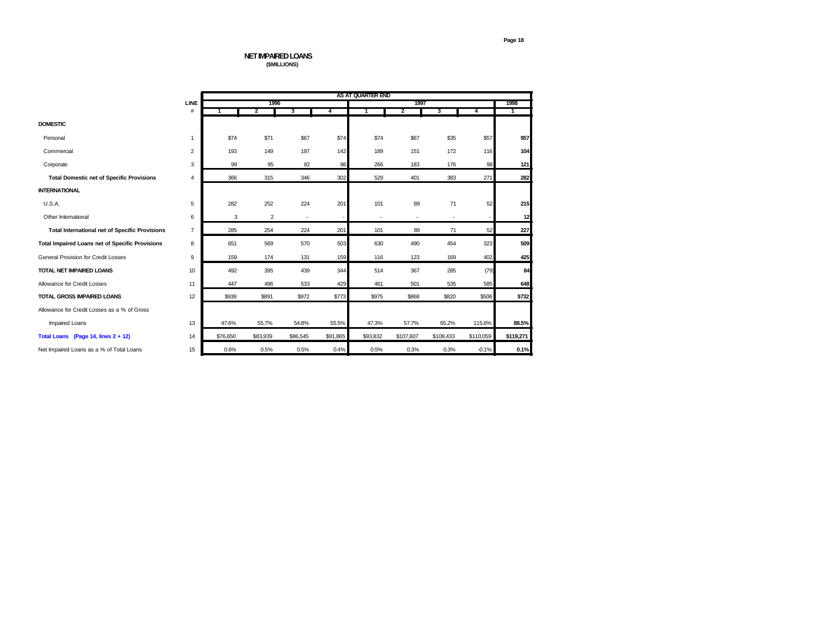### **NET IMPAIRED LOANS (\$MILLIONS)**

|                                                        |                | AS AT QUARTER END |                |          |          |          |           |           |           |           |  |  |
|--------------------------------------------------------|----------------|-------------------|----------------|----------|----------|----------|-----------|-----------|-----------|-----------|--|--|
|                                                        | LINE           |                   | 1996           |          |          |          | 1997      |           |           | 1998      |  |  |
|                                                        | $\#$           |                   | 2              | 3        | 4        | 1        | 2         | 3         | 4         | 1         |  |  |
| <b>DOMESTIC</b>                                        |                |                   |                |          |          |          |           |           |           |           |  |  |
| Personal                                               | $\mathbf{1}$   | \$74              | \$71           | \$67     | \$74     | \$74     | \$67      | \$35      | \$57      | \$57      |  |  |
| Commercial                                             | $\overline{2}$ | 193               | 149            | 197      | 142      | 189      | 151       | 172       | 116       | 104       |  |  |
| Corporate                                              | 3              | 99                | 95             | 82       | 86       | 266      | 183       | 176       | 98        | 121       |  |  |
| <b>Total Domestic net of Specific Provisions</b>       | $\overline{4}$ | 366               | 315            | 346      | 302      | 529      | 401       | 383       | 271       | 282       |  |  |
| <b>INTERNATIONAL</b>                                   |                |                   |                |          |          |          |           |           |           |           |  |  |
| U.S.A.                                                 | 5              | 282               | 252            | 224      | 201      | 101      | 89        | 71        | 52        | 215       |  |  |
| Other International                                    | 6              | 3                 | $\overline{2}$ |          |          |          | ٠         |           |           | 12        |  |  |
| <b>Total International net of Specific Provisions</b>  | $\overline{7}$ | 285               | 254            | 224      | 201      | 101      | 89        | 71        | 52        | 227       |  |  |
| <b>Total Impaired Loans net of Specific Provisions</b> | 8              | 651               | 569            | 570      | 503      | 630      | 490       | 454       | 323       | 509       |  |  |
| <b>General Provision for Credit Losses</b>             | 9              | 159               | 174            | 131      | 159      | 116      | 123       | 169       | 402       | 425       |  |  |
| <b>TOTAL NET IMPAIRED LOANS</b>                        | 10             | 492               | 395            | 439      | 344      | 514      | 367       | 285       | (79)      | 84        |  |  |
| Allowance for Credit Losses                            | 11             | 447               | 496            | 533      | 429      | 461      | 501       | 535       | 585       | 648       |  |  |
| <b>TOTAL GROSS IMPAIRED LOANS</b>                      | 12             | \$939             | \$891          | \$972    | \$773    | \$975    | \$868     | \$820     | \$506     | \$732     |  |  |
| Allowance for Credit Losses as a % of Gross            |                |                   |                |          |          |          |           |           |           |           |  |  |
| <b>Impaired Loans</b>                                  | 13             | 47.6%             | 55.7%          | 54.8%    | 55.5%    | 47.3%    | 57.7%     | 65.2%     | 115.6%    | 88.5%     |  |  |
| Total Loans (Page 14, lines $2 + 12$ )                 | 14             | \$76,650          | \$83,939       | \$86,545 | \$91,865 | \$93,832 | \$107,607 | \$108,433 | \$110,059 | \$119,271 |  |  |
| Net Impaired Loans as a % of Total Loans               | 15             | 0.6%              | 0.5%           | 0.5%     | 0.4%     | 0.5%     | 0.3%      | 0.3%      | $-0.1%$   | 0.1%      |  |  |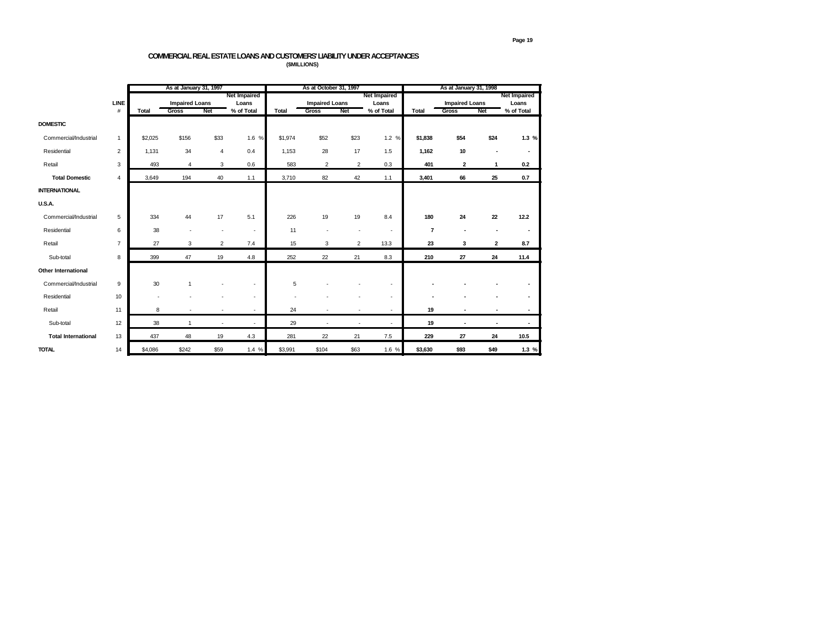## **COMMERCIAL REAL ESTATE LOANS AND CUSTOMERS' LIABILITY UNDER ACCEPTANCES (\$MILLIONS)**

|                            |                |              | As at January 31, 1997 |                |                          |              | As at October 31, 1997 |                          |                          | As at January 31, 1998 |                         |                |                          |  |
|----------------------------|----------------|--------------|------------------------|----------------|--------------------------|--------------|------------------------|--------------------------|--------------------------|------------------------|-------------------------|----------------|--------------------------|--|
|                            |                |              |                        |                | <b>Net Impaired</b>      |              |                        |                          | <b>Net Impaired</b>      |                        |                         |                | <b>Net Impaired</b>      |  |
|                            | LINE           |              | <b>Impaired Loans</b>  |                | Loans                    |              | <b>Impaired Loans</b>  |                          | Loans                    |                        | <b>Impaired Loans</b>   |                | Loans                    |  |
|                            | $\#$           | <b>Total</b> | <b>Gross</b>           | Net            | % of Total               | <b>Total</b> | Gross                  | Net                      | % of Total               | Total                  | <b>Gross</b>            | Net            | % of Total               |  |
| <b>DOMESTIC</b>            |                |              |                        |                |                          |              |                        |                          |                          |                        |                         |                |                          |  |
| Commercial/Industrial      | 1              | \$2,025      | \$156                  | \$33           | 1.6 %                    | \$1,974      | \$52                   | \$23                     | 1.2%                     | \$1,838                | \$54                    | \$24           | 1.3%                     |  |
| Residential                | $\overline{2}$ | 1.131        | 34                     | $\overline{4}$ | 0.4                      | 1,153        | 28                     | 17                       | 1.5                      | 1,162                  | 10                      |                | $\blacksquare$           |  |
| Retail                     | 3              | 493          | $\overline{4}$         | 3              | 0.6                      | 583          | $\overline{2}$         | $\overline{2}$           | 0.3                      | 401                    | $\overline{\mathbf{2}}$ | $\mathbf{1}$   | 0.2                      |  |
| <b>Total Domestic</b>      | 4              | 3,649        | 194                    | 40             | 1.1                      | 3,710        | 82                     | 42                       | 1.1                      | 3,401                  | 66                      | 25             | 0.7                      |  |
| <b>INTERNATIONAL</b>       |                |              |                        |                |                          |              |                        |                          |                          |                        |                         |                |                          |  |
| <b>U.S.A.</b>              |                |              |                        |                |                          |              |                        |                          |                          |                        |                         |                |                          |  |
| Commercial/Industrial      | 5              | 334          | 44                     | 17             | 5.1                      | 226          | 19                     | 19                       | 8.4                      | 180                    | 24                      | 22             | 12.2                     |  |
| Residential                | 6              | 38           |                        | ٠              | ٠                        | 11           |                        | $\overline{\phantom{a}}$ | $\blacksquare$           | $\overline{7}$         | ٠                       |                | $\overline{\phantom{0}}$ |  |
| Retail                     | $\overline{7}$ | 27           | 3                      | $\overline{2}$ | 7.4                      | 15           | 3                      | $\overline{2}$           | 13.3                     | 23                     | 3                       | $\overline{2}$ | 8.7                      |  |
| Sub-total                  | 8              | 399          | 47                     | 19             | 4.8                      | 252          | 22                     | 21                       | 8.3                      | 210                    | 27                      | 24             | 11.4                     |  |
| <b>Other International</b> |                |              |                        |                |                          |              |                        |                          |                          |                        |                         |                |                          |  |
| Commercial/Industrial      | 9              | 30           |                        |                | ٠                        | 5            |                        |                          | ٠                        |                        |                         |                |                          |  |
| Residential                | 10             |              |                        |                | $\overline{\phantom{a}}$ |              |                        |                          | ٠                        |                        |                         |                |                          |  |
| Retail                     | 11             | 8            |                        | ٠              | ٠                        | 24           |                        | ٠                        | $\sim$                   | 19                     |                         |                | $\sim$                   |  |
| Sub-total                  | 12             | 38           | $\overline{1}$         | ٠              | ٠                        | 29           |                        | $\overline{\phantom{a}}$ | $\overline{\phantom{a}}$ | 19                     | ٠                       | ٠              | ٠                        |  |
| <b>Total International</b> | 13             | 437          | 48                     | 19             | 4.3                      | 281          | 22                     | 21                       | 7.5                      | 229                    | 27                      | 24             | 10.5                     |  |
| <b>TOTAL</b>               | 14             | \$4,086      | \$242                  | \$59           | 1.4%                     | \$3,991      | \$104                  | \$63                     | 1.6 %                    | \$3,630                | \$93                    | \$49           | 1.3%                     |  |